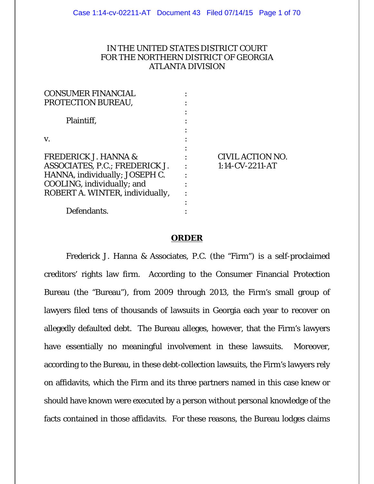# IN THE UNITED STATES DISTRICT COURT FOR THE NORTHERN DISTRICT OF GEORGIA ATLANTA DIVISION

| <b>CONSUMER FINANCIAL</b>              |                         |
|----------------------------------------|-------------------------|
| PROTECTION BUREAU,                     |                         |
| Plaintiff,                             |                         |
| v.                                     |                         |
| <b>FREDERICK J. HANNA &amp;</b>        | <b>CIVIL ACTION NO.</b> |
| <b>ASSOCIATES, P.C.; FREDERICK J.</b>  | $1:14$ -CV-2211-AT      |
| HANNA, <i>individually</i> ; JOSEPH C. |                         |
| COOLING, individually; and             |                         |
| ROBERT A. WINTER, individually,        |                         |
|                                        |                         |
| Defendants.                            |                         |

#### **ORDER**

Frederick J. Hanna & Associates, P.C. (the "Firm") is a self-proclaimed creditors' rights law firm. According to the Consumer Financial Protection Bureau (the "Bureau"), from 2009 through 2013, the Firm's small group of lawyers filed tens of thousands of lawsuits in Georgia each year to recover on allegedly defaulted debt. The Bureau alleges, however, that the Firm's lawyers have essentially no meaningful involvement in these lawsuits. Moreover, according to the Bureau, in these debt-collection lawsuits, the Firm's lawyers rely on affidavits, which the Firm and its three partners named in this case knew or should have known were executed by a person without personal knowledge of the facts contained in those affidavits. For these reasons, the Bureau lodges claims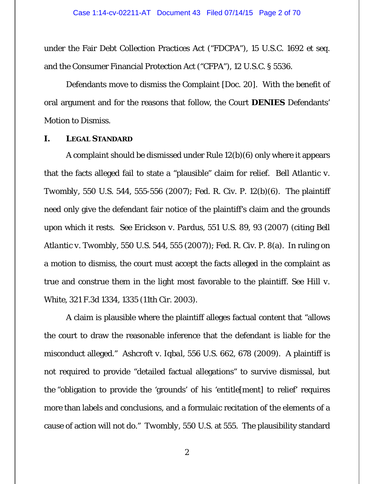under the Fair Debt Collection Practices Act ("FDCPA"), 15 U.S.C. 1692 *et seq*. and the Consumer Financial Protection Act ("CFPA"), 12 U.S.C. § 5536.

Defendants move to dismiss the Complaint [Doc. 20]. With the benefit of oral argument and for the reasons that follow, the Court **DENIES** Defendants' Motion to Dismiss.

## **I. LEGAL STANDARD**

A complaint should be dismissed under Rule 12(b)(6) only where it appears that the facts alleged fail to state a "plausible" claim for relief. *Bell Atlantic v. Twombly*, 550 U.S. 544, 555-556 (2007); Fed. R. Civ. P. 12(b)(6). The plaintiff need only give the defendant fair notice of the plaintiff's claim and the grounds upon which it rests. *See Erickson v. Pardus*, 551 U.S. 89, 93 (2007) (citing *Bell Atlantic v. Twombly*, 550 U.S. 544, 555 (2007)); Fed. R. Civ. P. 8(a). In ruling on a motion to dismiss, the court must accept the facts alleged in the complaint as true and construe them in the light most favorable to the plaintiff. *See Hill v. White*, 321 F.3d 1334, 1335 (11th Cir. 2003).

A claim is plausible where the plaintiff alleges factual content that "allows the court to draw the reasonable inference that the defendant is liable for the misconduct alleged." *Ashcroft v. Iqbal*, 556 U.S. 662, 678 (2009). A plaintiff is not required to provide "detailed factual allegations" to survive dismissal, but the "obligation to provide the 'grounds' of his 'entitle[ment] to relief' requires more than labels and conclusions, and a formulaic recitation of the elements of a cause of action will not do." *Twombly*, 550 U.S. at 555. The plausibility standard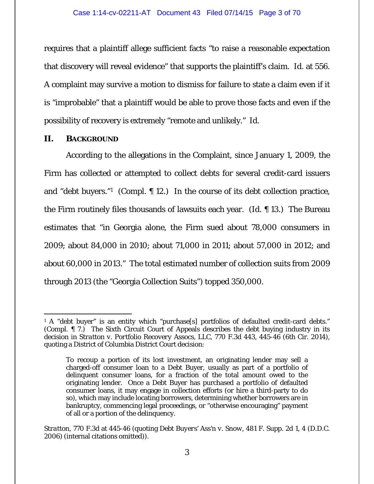requires that a plaintiff allege sufficient facts "to raise a reasonable expectation that discovery will reveal evidence" that supports the plaintiff's claim. *Id.* at 556. A complaint may survive a motion to dismiss for failure to state a claim even if it is "improbable" that a plaintiff would be able to prove those facts and even if the possibility of recovery is extremely "remote and unlikely." *Id*.

## **II. BACKGROUND**

-

According to the allegations in the Complaint, since January 1, 2009, the Firm has collected or attempted to collect debts for several credit-card issuers and "debt buyers."1 (Compl. ¶ 12.) In the course of its debt collection practice, the Firm routinely files thousands of lawsuits each year. (*Id.* ¶ 13.) The Bureau estimates that "in Georgia alone, the Firm sued about 78,000 consumers in 2009; about 84,000 in 2010; about 71,000 in 2011; about 57,000 in 2012; and about 60,000 in 2013." The total estimated number of collection suits from 2009 through 2013 (the "Georgia Collection Suits") topped 350,000.

<sup>&</sup>lt;sup>1</sup> A "debt buyer" is an entity which "purchase[s] portfolios of defaulted credit-card debts." (Compl. ¶ 7.) The Sixth Circuit Court of Appeals describes the debt buying industry in its decision in *Stratton v. Portfolio Recovery Assocs, LLC*, 770 F.3d 443, 445-46 (6th Cir. 2014), quoting a District of Columbia District Court decision:

To recoup a portion of its lost investment, an originating lender may sell a charged-off consumer loan to a Debt Buyer, usually as part of a portfolio of delinquent consumer loans, for a fraction of the total amount owed to the originating lender. Once a Debt Buyer has purchased a portfolio of defaulted consumer loans, it may engage in collection efforts (or hire a third-party to do so), which may include locating borrowers, determining whether borrowers are in bankruptcy, commencing legal proceedings, or "otherwise encouraging" payment of all or a portion of the delinquency.

*Stratton*, 770 F.3d at 445-46 (quoting *Debt Buyers' Ass'n v. Snow*, 481 F. Supp. 2d 1, 4 (D.D.C. 2006) (internal citations omitted)).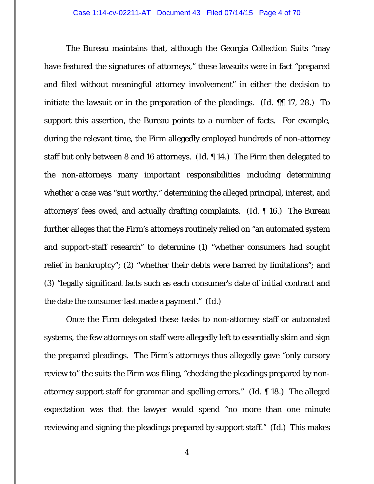The Bureau maintains that, although the Georgia Collection Suits "may have featured the signatures of attorneys," these lawsuits were in fact "prepared and filed without meaningful attorney involvement" in either the decision to initiate the lawsuit or in the preparation of the pleadings. (*Id.* ¶¶ 17, 28.) To support this assertion, the Bureau points to a number of facts. For example, during the relevant time, the Firm allegedly employed hundreds of non-attorney staff but only between 8 and 16 attorneys. (*Id.* ¶ 14.) The Firm then delegated to the non-attorneys many important responsibilities including determining whether a case was "suit worthy," determining the alleged principal, interest, and attorneys' fees owed, and actually drafting complaints. (*Id.* ¶ 16.) The Bureau further alleges that the Firm's attorneys routinely relied on "an automated system and support-staff research" to determine (1) "whether consumers had sought relief in bankruptcy"; (2) "whether their debts were barred by limitations"; and (3) "legally significant facts such as each consumer's date of initial contract and the date the consumer last made a payment." (*Id.*)

Once the Firm delegated these tasks to non-attorney staff or automated systems, the few attorneys on staff were allegedly left to essentially skim and sign the prepared pleadings. The Firm's attorneys thus allegedly gave "only cursory review to" the suits the Firm was filing, "checking the pleadings prepared by nonattorney support staff for grammar and spelling errors." (*Id.* ¶ 18.) The alleged expectation was that the lawyer would spend "no more than one minute reviewing and signing the pleadings prepared by support staff." (*Id.*) This makes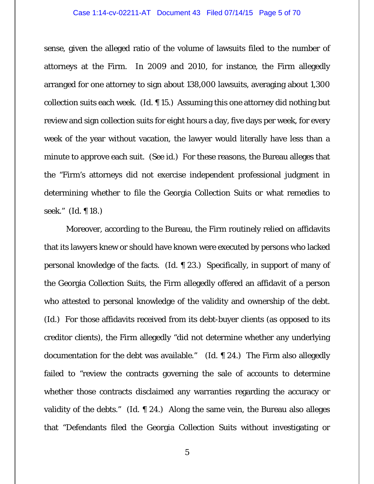#### Case 1:14-cv-02211-AT Document 43 Filed 07/14/15 Page 5 of 70

sense, given the alleged ratio of the volume of lawsuits filed to the number of attorneys at the Firm. In 2009 and 2010, for instance, the Firm allegedly arranged for one attorney to sign about 138,000 lawsuits, averaging about 1,300 collection suits each week. (*Id.* ¶ 15.) Assuming this one attorney did nothing but review and sign collection suits for eight hours a day, five days per week, for every week of the year without vacation, the lawyer would literally have less than a minute to approve each suit. (*See id.*) For these reasons, the Bureau alleges that the "Firm's attorneys did not exercise independent professional judgment in determining whether to file the Georgia Collection Suits or what remedies to seek." (*Id.* ¶ 18.)

Moreover, according to the Bureau, the Firm routinely relied on affidavits that its lawyers knew or should have known were executed by persons who lacked personal knowledge of the facts. (*Id.* ¶ 23.) Specifically, in support of many of the Georgia Collection Suits, the Firm allegedly offered an affidavit of a person who attested to personal knowledge of the validity and ownership of the debt. (*Id.*) For those affidavits received from its debt-buyer clients (as opposed to its creditor clients), the Firm allegedly "did not determine whether any underlying documentation for the debt was available." (*Id.* ¶ 24.) The Firm also allegedly failed to "review the contracts governing the sale of accounts to determine whether those contracts disclaimed any warranties regarding the accuracy or validity of the debts." (*Id.* ¶ 24.) Along the same vein, the Bureau also alleges that "Defendants filed the Georgia Collection Suits without investigating or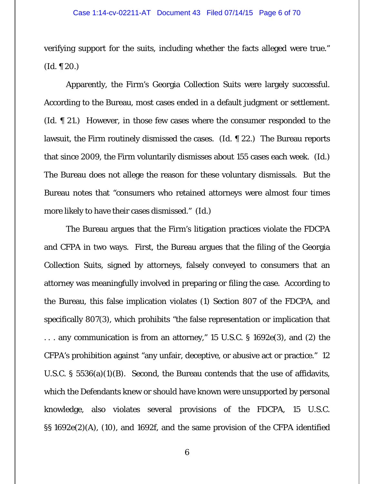verifying support for the suits, including whether the facts alleged were true." (*Id.* ¶ 20.)

Apparently, the Firm's Georgia Collection Suits were largely successful. According to the Bureau, most cases ended in a default judgment or settlement. (*Id.* ¶ 21.) However, in those few cases where the consumer responded to the lawsuit, the Firm routinely dismissed the cases. (*Id.* ¶ 22.) The Bureau reports that since 2009, the Firm voluntarily dismisses about 155 cases each week. (*Id.*) The Bureau does not allege the reason for these voluntary dismissals. But the Bureau notes that "consumers who retained attorneys were almost four times more likely to have their cases dismissed." (*Id.*)

 The Bureau argues that the Firm's litigation practices violate the FDCPA and CFPA in two ways. First, the Bureau argues that the filing of the Georgia Collection Suits, signed by attorneys, falsely conveyed to consumers that an attorney was meaningfully involved in preparing or filing the case. According to the Bureau, this false implication violates (1) Section 807 of the FDCPA, and specifically 807(3), which prohibits "the false representation or implication that . . . any communication is from an attorney," 15 U.S.C. § 1692e(3), and (2) the CFPA's prohibition against "any unfair, deceptive, or abusive act or practice." 12 U.S.C. § 5536(a)(1)(B). Second, the Bureau contends that the use of affidavits, which the Defendants knew or should have known were unsupported by personal knowledge, also violates several provisions of the FDCPA, 15 U.S.C. §§ 1692e(2)(A), (10), and 1692f, and the same provision of the CFPA identified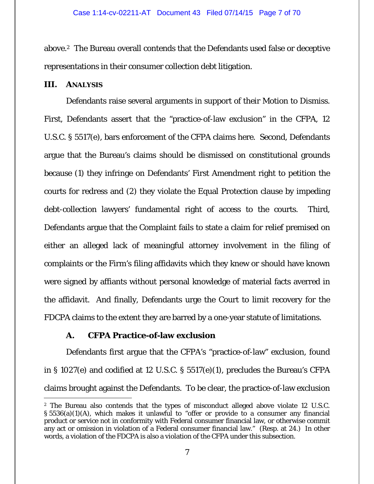above.2 The Bureau overall contends that the Defendants used false or deceptive representations in their consumer collection debt litigation.

## **III. ANALYSIS**

 $\overline{a}$ 

Defendants raise several arguments in support of their Motion to Dismiss. First, Defendants assert that the "practice-of-law exclusion" in the CFPA, 12 U.S.C. § 5517(e), bars enforcement of the CFPA claims here. Second, Defendants argue that the Bureau's claims should be dismissed on constitutional grounds because (1) they infringe on Defendants' First Amendment right to petition the courts for redress and (2) they violate the Equal Protection clause by impeding debt-collection lawyers' fundamental right of access to the courts. Third, Defendants argue that the Complaint fails to state a claim for relief premised on either an alleged lack of meaningful attorney involvement in the filing of complaints or the Firm's filing affidavits which they knew or should have known were signed by affiants without personal knowledge of material facts averred in the affidavit. And finally, Defendants urge the Court to limit recovery for the FDCPA claims to the extent they are barred by a one-year statute of limitations.

# **A. CFPA Practice-of-law exclusion**

Defendants first argue that the CFPA's "practice-of-law" exclusion, found in § 1027(e) and codified at 12 U.S.C. § 5517(e)(1), precludes the Bureau's CFPA claims brought against the Defendants. To be clear, the practice-of-law exclusion

<sup>2</sup> The Bureau also contends that the types of misconduct alleged above violate 12 U.S.C. § 5536(a)(1)(A), which makes it unlawful to "offer or provide to a consumer any financial product or service not in conformity with Federal consumer financial law, or otherwise commit any act or omission in violation of a Federal consumer financial law." (Resp. at 24.) In other words, a violation of the FDCPA is also a violation of the CFPA under this subsection.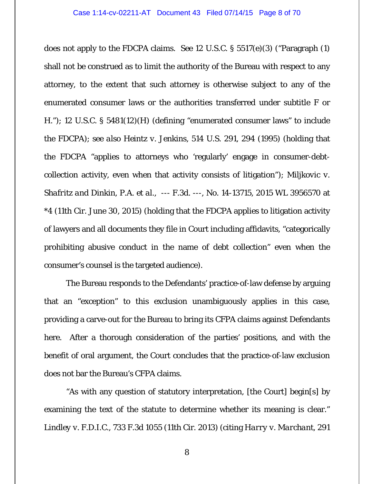does not apply to the FDCPA claims. *See* 12 U.S.C. § 5517(e)(3) ("Paragraph (1) shall not be construed as to limit the authority of the Bureau with respect to any attorney, to the extent that such attorney is otherwise subject to any of the enumerated consumer laws or the authorities transferred under subtitle F or H."); 12 U.S.C. § 5481(12)(H) (defining "enumerated consumer laws" to include the FDCPA); *see also Heintz v. Jenkins*, 514 U.S. 291, 294 (1995) (holding that the FDCPA "applies to attorneys who 'regularly' engage in consumer-debtcollection activity, even when that activity consists of litigation"); *Miljkovic v. Shafritz and Dinkin, P.A. et al.*, --- F.3d. ---, No. 14-13715, 2015 WL 3956570 at \*4 (11th Cir. June 30, 2015) (holding that the FDCPA applies to litigation activity of lawyers and all documents they file in Court including affidavits, "categorically prohibiting abusive conduct in the name of debt collection" even when the consumer's counsel is the targeted audience).

The Bureau responds to the Defendants' practice-of-law defense by arguing that an "exception" to this exclusion unambiguously applies in this case, providing a carve-out for the Bureau to bring its CFPA claims against Defendants here. After a thorough consideration of the parties' positions, and with the benefit of oral argument, the Court concludes that the practice-of-law exclusion does not bar the Bureau's CFPA claims.

"As with any question of statutory interpretation, [the Court] begin[s] by examining the text of the statute to determine whether its meaning is clear." *Lindley v. F.D.I.C.*, 733 F.3d 1055 (11th Cir. 2013) (citing *Harry v. Marchant*, 291

8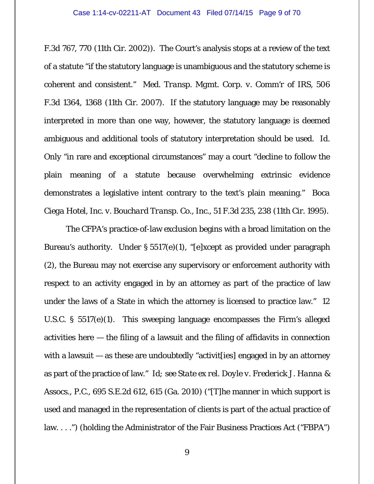F.3d 767, 770 (11th Cir. 2002)). The Court's analysis stops at a review of the text of a statute "if the statutory language is unambiguous and the statutory scheme is coherent and consistent." *Med. Transp. Mgmt. Corp. v. Comm'r of IRS,* 506 F.3d 1364, 1368 (11th Cir. 2007). If the statutory language may be reasonably interpreted in more than one way, however, the statutory language is deemed ambiguous and additional tools of statutory interpretation should be used. *Id.* Only "in rare and exceptional circumstances" may a court "decline to follow the plain meaning of a statute because overwhelming extrinsic evidence demonstrates a legislative intent contrary to the text's plain meaning." *Boca Ciega Hotel, Inc. v. Bouchard Transp. Co., Inc.*, 51 F.3d 235, 238 (11th Cir. 1995).

The CFPA's practice-of-law exclusion begins with a broad limitation on the Bureau's authority. Under  $\S 5517(e)(1)$ , "[e]xcept as provided under paragraph (2), the Bureau may not exercise any supervisory or enforcement authority with respect to an activity engaged in by an attorney as part of the practice of law under the laws of a State in which the attorney is licensed to practice law." 12 U.S.C. § 5517(e)(1). This sweeping language encompasses the Firm's alleged activities here — the filing of a lawsuit and the filing of affidavits in connection with a lawsuit — as these are undoubtedly "activit[ies] engaged in by an attorney as part of the practice of law." *Id; see State ex rel. Doyle v. Frederick J. Hanna & Assocs., P.C.*, 695 S.E.2d 612, 615 (Ga. 2010) ("[T]he manner in which support is used and managed in the representation of clients is part of the actual practice of law. . . .") (holding the Administrator of the Fair Business Practices Act ("FBPA")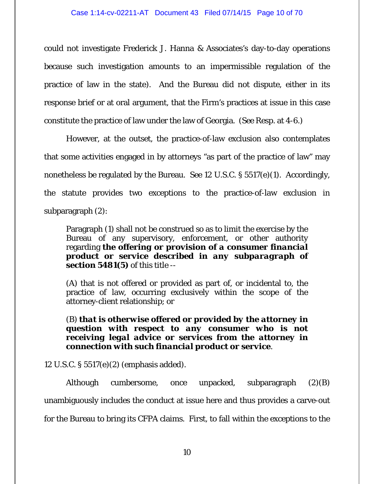could not investigate Frederick J. Hanna & Associates's day-to-day operations because such investigation amounts to an impermissible regulation of the practice of law in the state). And the Bureau did not dispute, either in its response brief or at oral argument, that the Firm's practices at issue in this case constitute the practice of law under the law of Georgia. (*See* Resp. at 4-6.)

However, at the outset, the practice-of-law exclusion also contemplates that some activities engaged in by attorneys "as part of the practice of law" may nonetheless be regulated by the Bureau. *See* 12 U.S.C. § 5517(e)(1). Accordingly, the statute provides two exceptions to the practice-of-law exclusion in subparagraph (2):

Paragraph (1) shall not be construed so as to limit the exercise by the Bureau of any supervisory, enforcement, or other authority regarding *the offering or provision of a consumer financial product or service described in any subparagraph of section 5481(5)* of this title --

(A) that is not offered or provided as part of, or incidental to, the practice of law, occurring exclusively within the scope of the attorney-client relationship; or

(B) *that is otherwise offered or provided by the attorney in question with respect to any consumer who is not receiving legal advice or services from the attorney in connection with such financial product or service*.

12 U.S.C. § 5517(e)(2) (emphasis added).

 Although cumbersome, once unpacked, subparagraph (2)(B) unambiguously includes the conduct at issue here and thus provides a carve-out for the Bureau to bring its CFPA claims. First, to fall within the exceptions to the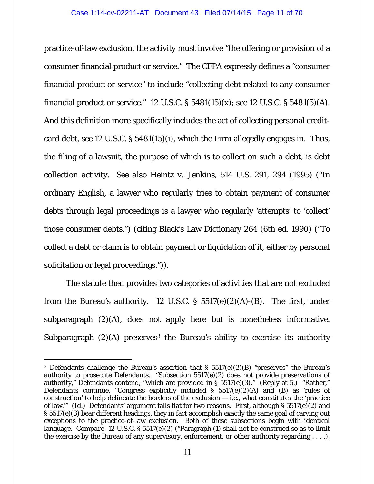practice-of-law exclusion, the activity must involve "the offering or provision of a consumer financial product or service." The CFPA expressly defines a "consumer financial product or service" to include "collecting debt related to any consumer financial product or service." 12 U.S.C. § 5481(15)(x); *see* 12 U.S.C. § 5481(5)(A). And this definition more specifically includes the act of collecting personal creditcard debt, *see* 12 U.S.C. § 5481(15)(i), which the Firm allegedly engages in. Thus, the filing of a lawsuit, the purpose of which is to collect on such a debt, is debt collection activity. *See also Heintz v. Jenkins*, 514 U.S. 291, 294 (1995) ("In ordinary English, a lawyer who regularly tries to obtain payment of consumer debts through legal proceedings is a lawyer who regularly 'attempts' to 'collect' those consumer debts.") (citing Black's Law Dictionary 264 (6th ed. 1990) ("To collect a debt or claim is to obtain payment or liquidation of it, either by personal solicitation or legal proceedings.")).

The statute then provides two categories of activities that are not excluded from the Bureau's authority. 12 U.S.C.  $\S$  5517(e)(2)(A)-(B). The first, under subparagraph (2)(A), does not apply here but is nonetheless informative. Subparagraph  $(2)(A)$  preserves<sup>3</sup> the Bureau's ability to exercise its authority

-

<sup>&</sup>lt;sup>3</sup> Defendants challenge the Bureau's assertion that  $\S$  5517(e)(2)(B) "preserves" the Bureau's authority to prosecute Defendants. "Subsection 5517(e)(2) does not provide preservations of authority," Defendants contend, "which are provided in § 5517(e)(3)." (Reply at 5.) "Rather," Defendants continue, "Congress explicitly included § 5517(e)(2)(A) and (B) as 'rules of construction' to help delineate the borders of the exclusion — i.e., what constitutes the 'practice of law.'" (*Id.*) Defendants' argument falls flat for two reasons. First, although § 5517(e)(2) and § 5517(e)(3) bear different headings, they in fact accomplish exactly the same goal of carving out exceptions to the practice-of-law exclusion. Both of these subsections begin with identical language. *Compare* 12 U.S.C. § 5517(e)(2) ("Paragraph (1) shall not be construed so as to limit the exercise by the Bureau of any supervisory, enforcement, or other authority regarding . . . .),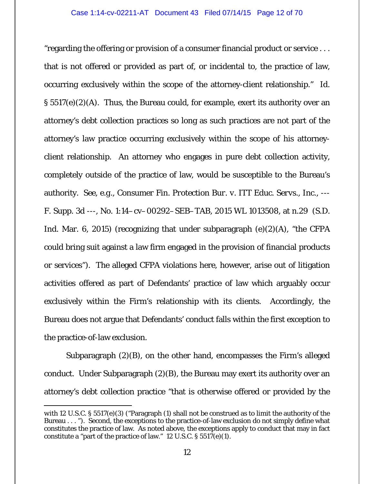"regarding the offering or provision of a consumer financial product or service . . . that is not offered or provided as part of, or incidental to, the practice of law, occurring exclusively within the scope of the attorney-client relationship." *Id.*  $\S 5517(e)(2)(A)$ . Thus, the Bureau could, for example, exert its authority over an attorney's debt collection practices so long as such practices are not part of the attorney's law practice occurring exclusively within the scope of his attorneyclient relationship. An attorney who engages in pure debt collection activity, completely outside of the practice of law, would be susceptible to the Bureau's authority. *See, e.g.*, *Consumer Fin. Protection Bur. v. ITT Educ. Servs., Inc.*, --- F. Supp. 3d ---, No. 1:14–cv–00292–SEB–TAB, 2015 WL 1013508, at n.29 (S.D. Ind. Mar. 6, 2015) (recognizing that under subparagraph  $(e)(2)(A)$ , "the CFPA could bring suit against a law firm engaged in the provision of financial products or services").The alleged CFPA violations here, however, arise out of litigation activities offered as part of Defendants' practice of law which arguably occur exclusively within the Firm's relationship with its clients. Accordingly, the Bureau does not argue that Defendants' conduct falls within the first exception to the practice-of-law exclusion.

Subparagraph (2)(B), on the other hand, encompasses the Firm's alleged conduct. Under Subparagraph (2)(B), the Bureau may exert its authority over an attorney's debt collection practice "that is otherwise offered or provided by the

 $\overline{a}$ 

*with* 12 U.S.C. § 5517(e)(3) ("Paragraph (1) shall not be construed as to limit the authority of the Bureau . . . "). Second, the exceptions to the practice-of-law exclusion do not simply define what constitutes the practice of law. As noted above, the exceptions apply to conduct that may in fact constitute a "part of the practice of law." 12 U.S.C. § 5517(e)(1).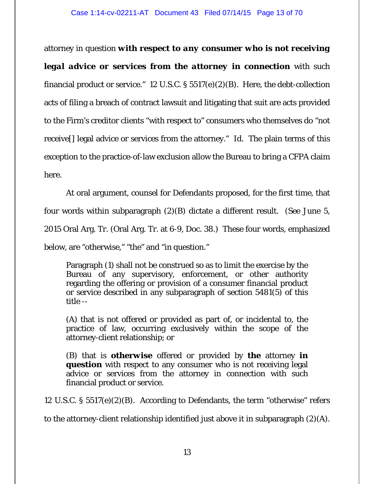attorney in question *with respect to any consumer who is not receiving legal advice or services from the attorney in connection* with such financial product or service." 12 U.S.C.  $\S 5517(e)(2)(B)$ . Here, the debt-collection acts of filing a breach of contract lawsuit and litigating that suit are acts provided to the Firm's creditor clients "with respect to" consumers who themselves do "not receive[] legal advice or services from the attorney." *Id.* The plain terms of this exception to the practice-of-law exclusion allow the Bureau to bring a CFPA claim here.

At oral argument, counsel for Defendants proposed, for the first time, that four words within subparagraph (2)(B) dictate a different result. (*See* June 5, 2015 Oral Arg. Tr. (Oral Arg. Tr. at 6-9, Doc. 38.) These four words, emphasized below, are "otherwise," "the" and "in question."

Paragraph (1) shall not be construed so as to limit the exercise by the Bureau of any supervisory, enforcement, or other authority regarding the offering or provision of a consumer financial product or service described in any subparagraph of section 5481(5) of this title --

(A) that is not offered or provided as part of, or incidental to, the practice of law, occurring exclusively within the scope of the attorney-client relationship; or

(B) that is *otherwise* offered or provided by *the* attorney *in question* with respect to any consumer who is not receiving legal advice or services from the attorney in connection with such financial product or service.

12 U.S.C. § 5517(e)(2)(B). According to Defendants, the term "otherwise" refers

to the attorney-client relationship identified just above it in subparagraph (2)(A).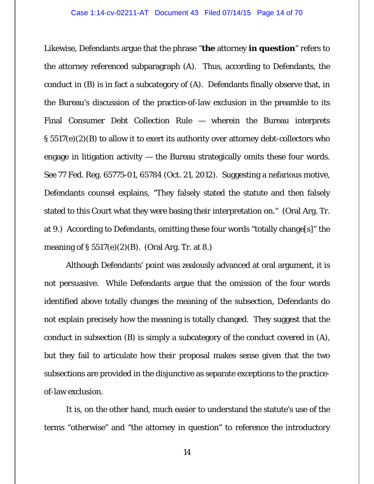Likewise, Defendants argue that the phrase "*the* attorney *in question*" refers to the attorney referenced subparagraph (A). Thus, according to Defendants, the conduct in (B) is in fact a subcategory of (A). Defendants finally observe that, in the Bureau's discussion of the practice-of-law exclusion in the preamble to its Final Consumer Debt Collection Rule — wherein the Bureau interprets  $\S 5517(e)(2)(B)$  to allow it to exert its authority over attorney debt-collectors who engage in litigation activity — the Bureau strategically omits these four words. *See* 77 Fed. Reg. 65775-01, 65784 (Oct. 21, 2012). Suggesting a nefarious motive, Defendants counsel explains, "They falsely stated the statute and then falsely stated to this Court what they were basing their interpretation on." (Oral Arg. Tr. at 9.) According to Defendants, omitting these four words "totally change[s]" the meaning of  $\S 5517(e)(2)(B)$ . (Oral Arg. Tr. at 8.)

Although Defendants' point was zealously advanced at oral argument, it is not persuasive. While Defendants argue that the omission of the four words identified above totally changes the meaning of the subsection, Defendants do not explain precisely how the meaning is totally changed. They suggest that the conduct in subsection (B) is simply a subcategory of the conduct covered in (A), but they fail to articulate how their proposal makes sense given that the two subsections are provided in the disjunctive as separate exceptions to the practiceof-law exclusion.

It is, on the other hand, much easier to understand the statute's use of the terms "otherwise" and "the attorney in question" to reference the introductory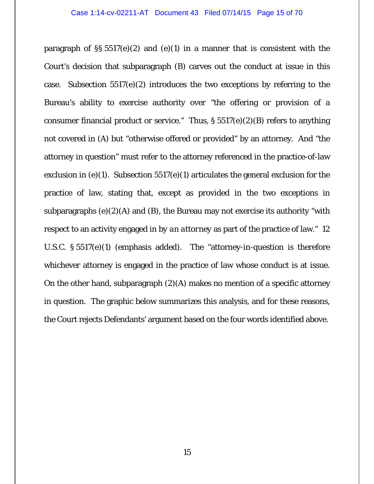paragraph of  $\S$ § 5517(e)(2) and (e)(1) in a manner that is consistent with the Court's decision that subparagraph (B) carves out the conduct at issue in this case. Subsection 5517(e)(2) introduces the two exceptions by referring to the Bureau's ability to exercise authority over "the offering or provision of a consumer financial product or service." Thus,  $\S 5517(e)(2)(B)$  refers to anything *not* covered in (A) but "otherwise offered or provided" by an attorney. And "the attorney in question" must refer to the attorney referenced in the practice-of-law exclusion in  $(e)(1)$ . Subsection 5517 $(e)(1)$  articulates the general exclusion for the practice of law, stating that, except as provided in the two exceptions in subparagraphs  $(e)(2)(A)$  and  $(B)$ , the Bureau may not exercise its authority "with respect to an activity engaged in *by an attorney* as part of the practice of law." 12 U.S.C. § 5517(e)(1) (emphasis added). The "attorney-in-question is therefore whichever attorney is engaged in the practice of law whose conduct is at issue. On the other hand, subparagraph (2)(A) makes no mention of a specific attorney in question. The graphic below summarizes this analysis, and for these reasons, the Court rejects Defendants' argument based on the four words identified above.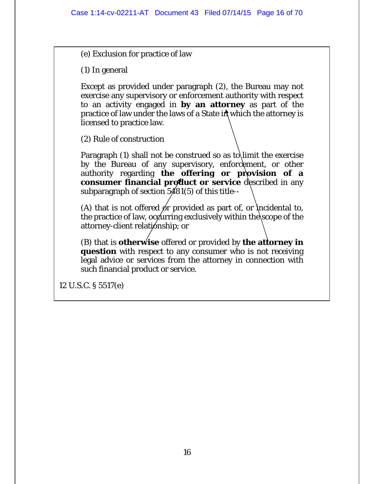(e) Exclusion for practice of law

(1) In general

Except as provided under paragraph (2), the Bureau may not exercise any supervisory or enforcement authority with respect to an activity engaged in **by an attorney** as part of the practice of law under the laws of a State in which the attorney is licensed to practice law.

(2) Rule of construction

Paragraph (1) shall not be construed so as to limit the exercise by the Bureau of any supervisory, enforcement, or other authority regarding **the offering or provision of a consumer financial product or service** described in any subparagraph of section  $5481(5)$  of this title--

(A) that is not offered  $\phi r$  provided as part of, or incidental to, the practice of law, occurring exclusively within the scope of the attorney-client relationship; or

(B) that is **otherwise** offered or provided by **the attorney in question** with respect to any consumer who is not receiving legal advice or services from the attorney in connection with such financial product or service.

12 U.S.C. § 5517(e)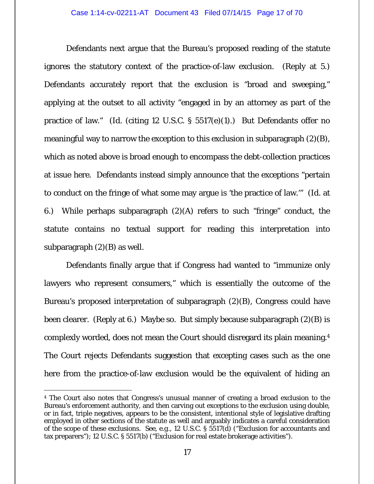Defendants next argue that the Bureau's proposed reading of the statute ignores the statutory context of the practice-of-law exclusion. (Reply at 5.) Defendants accurately report that the exclusion is "broad and sweeping," applying at the outset to all activity "engaged in by an attorney as part of the practice of law." (*Id.* (citing 12 U.S.C. § 5517(e)(1).) But Defendants offer no meaningful way to narrow the exception to this exclusion in subparagraph (2)(B), which as noted above is broad enough to encompass the debt-collection practices at issue here. Defendants instead simply announce that the exceptions "pertain to conduct on the fringe of what some may argue is 'the practice of law.'" (*Id.* at 6.) While perhaps subparagraph (2)(A) refers to such "fringe" conduct, the statute contains no textual support for reading this interpretation into subparagraph  $(2)(B)$  as well.

Defendants finally argue that if Congress had wanted to "immunize only lawyers who represent consumers," which is essentially the outcome of the Bureau's proposed interpretation of subparagraph (2)(B), Congress could have been clearer. (Reply at 6.) Maybe so. But simply because subparagraph (2)(B) is complexly worded, does not mean the Court should disregard its plain meaning.4 The Court rejects Defendants suggestion that excepting cases such as the one here from the practice-of-law exclusion would be the equivalent of hiding an

<sup>-</sup>4 The Court also notes that Congress's unusual manner of creating a broad exclusion to the Bureau's enforcement authority, and then carving out exceptions to the exclusion using double, or in fact, triple negatives, appears to be the consistent, intentional style of legislative drafting employed in other sections of the statute as well and arguably indicates a careful consideration of the scope of these exclusions. *See, e.g.,* 12 U.S.C. § 5517(d) ("Exclusion for accountants and tax preparers"); 12 U.S.C. § 5517(b) ("Exclusion for real estate brokerage activities").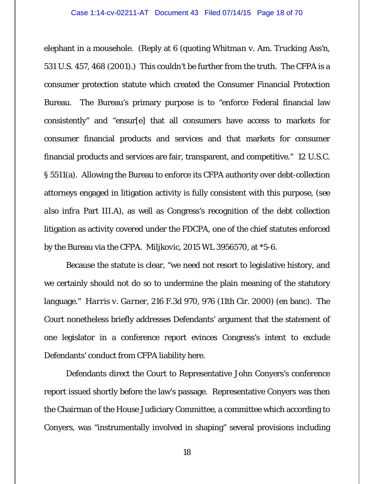elephant in a mousehole. (Reply at 6 (quoting *Whitman v. Am. Trucking Ass'n*, 531 U.S. 457, 468 (2001).) This couldn't be further from the truth. The CFPA is a consumer protection statute which created the Consumer Financial Protection Bureau. The Bureau's primary purpose is to "enforce Federal financial law consistently" and "ensur[e] that all consumers have access to markets for consumer financial products and services and that markets for consumer financial products and services are fair, transparent, and competitive." 12 U.S.C. § 5511(a). Allowing the Bureau to enforce its CFPA authority over debt-collection attorneys engaged in litigation activity is fully consistent with this purpose, (s*ee also infra* Part III.A), as well as Congress's recognition of the debt collection litigation as activity covered under the FDCPA, one of the chief statutes enforced by the Bureau via the CFPA. *Miljkovic*, 2015 WL 3956570, at \*5-6.

Because the statute is clear, "we need not resort to legislative history, and we certainly should not do so to undermine the plain meaning of the statutory language." *Harris v. Garner*, 216 F.3d 970, 976 (11th Cir. 2000) (en banc). The Court nonetheless briefly addresses Defendants' argument that the statement of one legislator in a conference report evinces Congress's intent to exclude Defendants' conduct from CFPA liability here.

Defendants direct the Court to Representative John Conyers's conference report issued shortly before the law's passage. Representative Conyers was then the Chairman of the House Judiciary Committee, a committee which according to Conyers, was "instrumentally involved in shaping" several provisions including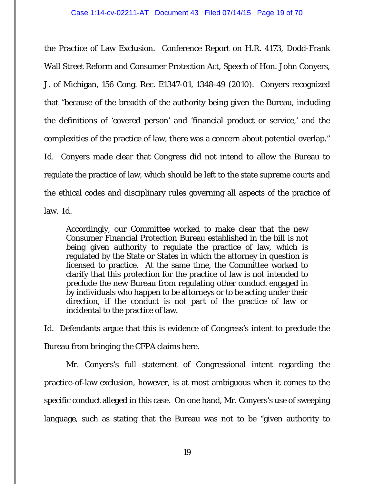the Practice of Law Exclusion. Conference Report on H.R. 4173, Dodd-Frank Wall Street Reform and Consumer Protection Act, Speech of Hon. John Conyers, J. of Michigan, 156 Cong. Rec. E1347-01, 1348-49 (2010). Conyers recognized that "because of the breadth of the authority being given the Bureau, including the definitions of 'covered person' and 'financial product or service,' and the complexities of the practice of law, there was a concern about potential overlap." *Id.* Conyers made clear that Congress did not intend to allow the Bureau to regulate the practice of law, which should be left to the state supreme courts and the ethical codes and disciplinary rules governing all aspects of the practice of law. *Id.*

Accordingly, our Committee worked to make clear that the new Consumer Financial Protection Bureau established in the bill is not being given authority to regulate the practice of law, which is regulated by the State or States in which the attorney in question is licensed to practice. At the same time, the Committee worked to clarify that this protection for the practice of law is not intended to preclude the new Bureau from regulating other conduct engaged in by individuals who happen to be attorneys or to be acting under their direction, if the conduct is not part of the practice of law or incidental to the practice of law.

*Id.* Defendants argue that this is evidence of Congress's intent to preclude the Bureau from bringing the CFPA claims here.

Mr. Conyers's full statement of Congressional intent regarding the practice-of-law exclusion, however, is at most ambiguous when it comes to the specific conduct alleged in this case. On one hand, Mr. Conyers's use of sweeping language, such as stating that the Bureau was not to be "given authority to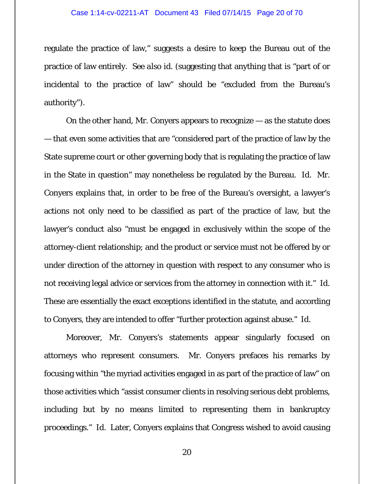#### Case 1:14-cv-02211-AT Document 43 Filed 07/14/15 Page 20 of 70

regulate the practice of law," suggests a desire to keep the Bureau out of the practice of law entirely. *See also id.* (suggesting that anything that is "part of or incidental to the practice of law" should be "excluded from the Bureau's authority").

On the other hand, Mr. Conyers appears to recognize — as the statute does — that even some activities that are "considered part of the practice of law by the State supreme court or other governing body that is regulating the practice of law in the State in question" may nonetheless be regulated by the Bureau. *Id.* Mr. Conyers explains that, in order to be free of the Bureau's oversight, a lawyer's actions not only need to be classified as part of the practice of law, but the lawyer's conduct also "must be engaged in exclusively within the scope of the attorney-client relationship; and the product or service must not be offered by or under direction of the attorney in question with respect to any consumer who is not receiving legal advice or services from the attorney in connection with it." *Id.* These are essentially the exact exceptions identified in the statute, and according to Conyers, they are intended to offer "further protection against abuse." *Id.*

Moreover, Mr. Conyers's statements appear singularly focused on attorneys who represent consumers. Mr. Conyers prefaces his remarks by focusing within "the myriad activities engaged in as part of the practice of law" on those activities which "assist consumer clients in resolving serious debt problems, including but by no means limited to representing them in bankruptcy proceedings." *Id.* Later, Conyers explains that Congress wished to avoid causing

20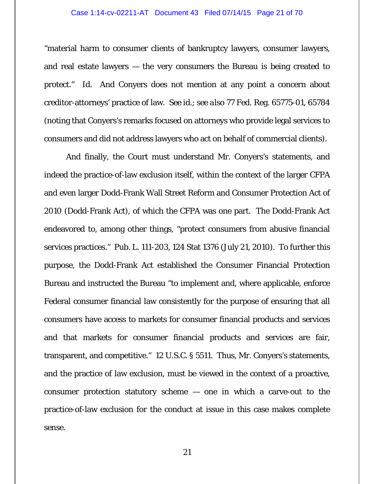#### Case 1:14-cv-02211-AT Document 43 Filed 07/14/15 Page 21 of 70

"material harm to consumer clients of bankruptcy lawyers, consumer lawyers, and real estate lawyers — the very consumers the Bureau is being created to protect." *Id.* And Conyers does not mention at any point a concern about creditor-attorneys' practice of law. *See id.*; *see also* 77 Fed. Reg. 65775-01, 65784 (noting that Conyers's remarks focused on attorneys who provide legal services to consumers and did not address lawyers who act on behalf of commercial clients).

And finally, the Court must understand Mr. Conyers's statements, and indeed the practice-of-law exclusion itself, within the context of the larger CFPA and even larger Dodd-Frank Wall Street Reform and Consumer Protection Act of 2010 (Dodd-Frank Act), of which the CFPA was one part. The Dodd-Frank Act endeavored to, among other things, "protect consumers from abusive financial services practices." Pub. L. 111-203, 124 Stat 1376 (July 21, 2010). To further this purpose, the Dodd-Frank Act established the Consumer Financial Protection Bureau and instructed the Bureau "to implement and, where applicable, enforce Federal consumer financial law consistently for the purpose of ensuring that all consumers have access to markets for consumer financial products and services and that markets for consumer financial products and services are fair, transparent, and competitive." 12 U.S.C. § 5511. Thus, Mr. Conyers's statements, and the practice of law exclusion, must be viewed in the context of a proactive, consumer protection statutory scheme — one in which a carve-out to the practice-of-law exclusion for the conduct at issue in this case makes complete sense.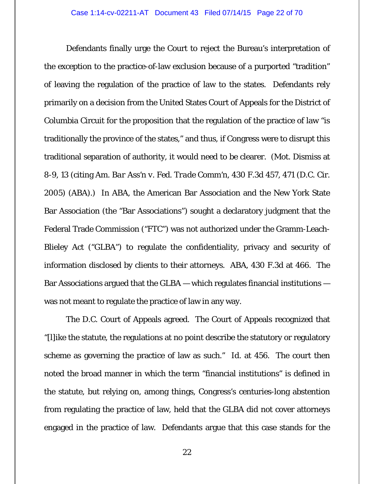Defendants finally urge the Court to reject the Bureau's interpretation of the exception to the practice-of-law exclusion because of a purported "tradition" of leaving the regulation of the practice of law to the states. Defendants rely primarily on a decision from the United States Court of Appeals for the District of Columbia Circuit for the proposition that the regulation of the practice of law "is traditionally the province of the states," and thus, if Congress were to disrupt this traditional separation of authority, it would need to be clearer. (Mot. Dismiss at 8-9, 13 (citing *Am. Bar Ass'n v. Fed. Trade Comm'n*, 430 F.3d 457, 471 (D.C. Cir. 2005) (*ABA*).) In *ABA*, the American Bar Association and the New York State Bar Association (the "Bar Associations") sought a declaratory judgment that the Federal Trade Commission ("FTC") was not authorized under the Gramm-Leach-Blieley Act ("GLBA") to regulate the confidentiality, privacy and security of information disclosed by clients to their attorneys. *ABA*, 430 F.3d at 466. The Bar Associations argued that the GLBA — which regulates financial institutions was not meant to regulate the practice of law in any way.

The D.C. Court of Appeals agreed. The Court of Appeals recognized that "[l]ike the statute, the regulations at no point describe the statutory or regulatory scheme as governing the practice of law as such." *Id.* at 456. The court then noted the broad manner in which the term "financial institutions" is defined in the statute, but relying on, among things, Congress's centuries-long abstention from regulating the practice of law, held that the GLBA did not cover attorneys engaged in the practice of law. Defendants argue that this case stands for the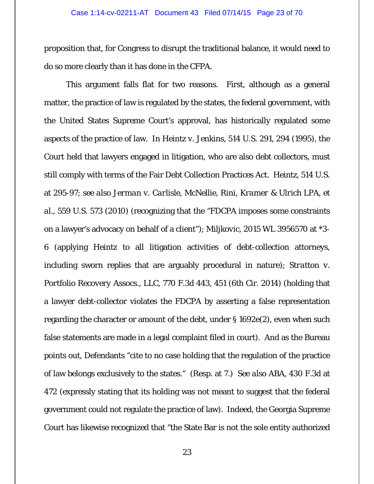proposition that, for Congress to disrupt the traditional balance, it would need to do so more clearly than it has done in the CFPA.

This argument falls flat for two reasons. First, although as a general matter, the practice of law is regulated by the states, the federal government, with the United States Supreme Court's approval, has historically regulated some aspects of the practice of law. In *Heintz v. Jenkins*, 514 U.S. 291, 294 (1995), the Court held that lawyers engaged in litigation, who are also debt collectors, must still comply with terms of the Fair Debt Collection Practices Act. *Heintz*, 514 U.S. at 295-97; *see also Jerman v. Carlisle, McNellie, Rini, Kramer & Ulrich LPA, et al.*, 559 U.S. 573 (2010) (recognizing that the "FDCPA imposes some constraints on a lawyer's advocacy on behalf of a client"); *Miljkovic*, 2015 WL 3956570 at \*3- 6 (applying *Heintz* to all litigation activities of debt-collection attorneys, including sworn replies that are arguably procedural in nature); *Stratton v. Portfolio Recovery Assocs., LLC*, 770 F.3d 443, 451 (6th Cir. 2014) (holding that a lawyer debt-collector violates the FDCPA by asserting a false representation regarding the character or amount of the debt, under § 1692e(2), even when such false statements are made in a legal complaint filed in court). And as the Bureau points out, Defendants "cite to no case holding that the regulation of the practice of law belongs exclusively to the states." (Resp. at 7.) *See also ABA*, 430 F.3d at 472 (expressly stating that its holding was not meant to suggest that the federal government could not regulate the practice of law). Indeed, the Georgia Supreme Court has likewise recognized that "the State Bar is not the sole entity authorized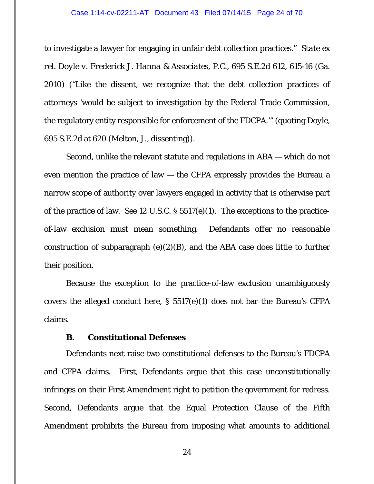to investigate a lawyer for engaging in unfair debt collection practices." *State ex rel. Doyle v. Frederick J. Hanna & Associates, P.C.*, 695 S.E.2d 612, 615-16 (Ga. 2010) ("Like the dissent, we recognize that the debt collection practices of attorneys 'would be subject to investigation by the Federal Trade Commission, the regulatory entity responsible for enforcement of the FDCPA.'" (quoting *Doyle*, 695 S.E.2d at 620 (Melton, J., dissenting)).

Second, unlike the relevant statute and regulations in *ABA* — which do not even mention the practice of law — the CFPA expressly provides the Bureau a narrow scope of authority over lawyers engaged in activity that is otherwise part of the practice of law. *See* 12 U.S.C. § 5517(e)(1). The exceptions to the practiceof-law exclusion must mean something. Defendants offer no reasonable construction of subparagraph (e)(2)(B), and the *ABA* case does little to further their position.

Because the exception to the practice-of-law exclusion unambiguously covers the alleged conduct here,  $\S$  5517(e)(1) does not bar the Bureau's CFPA claims.

## **B. Constitutional Defenses**

Defendants next raise two constitutional defenses to the Bureau's FDCPA and CFPA claims. First, Defendants argue that this case unconstitutionally infringes on their First Amendment right to petition the government for redress. Second, Defendants argue that the Equal Protection Clause of the Fifth Amendment prohibits the Bureau from imposing what amounts to additional

24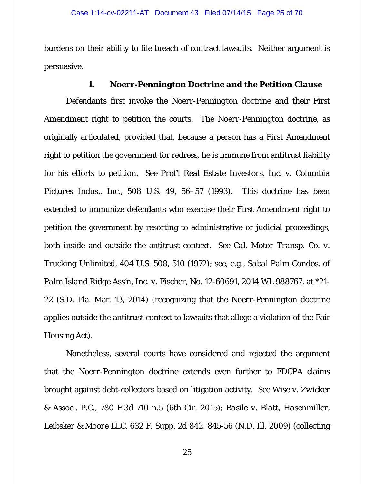burdens on their ability to file breach of contract lawsuits. Neither argument is persuasive.

## *1. Noerr-Pennington Doctrine and the Petition Clause*

Defendants first invoke the *Noerr-Pennington* doctrine and their First Amendment right to petition the courts. The *Noerr-Pennington* doctrine, as originally articulated, provided that, because a person has a First Amendment right to petition the government for redress, he is immune from antitrust liability for his efforts to petition. *See Prof'l Real Estate Investors, Inc. v. Columbia Pictures Indus., Inc.*, 508 U.S. 49, 56–57 (1993). This doctrine has been extended to immunize defendants who exercise their First Amendment right to petition the government by resorting to administrative or judicial proceedings, both inside and outside the antitrust context. *See Cal. Motor Transp. Co. v. Trucking Unlimited*, 404 U.S. 508, 510 (1972); *see, e.g.*, *Sabal Palm Condos. of Palm Island Ridge Ass'n, Inc. v. Fischer*, No. 12-60691, 2014 WL 988767, at \*21- 22 (S.D. Fla. Mar. 13, 2014) (recognizing that the *Noerr-Pennington* doctrine applies outside the antitrust context to lawsuits that allege a violation of the Fair Housing Act).

Nonetheless, several courts have considered and rejected the argument that the *Noerr-Pennington* doctrine extends even further to FDCPA claims brought against debt-collectors based on litigation activity. *See Wise v. Zwicker & Assoc., P.C.*, 780 F.3d 710 n.5 (6th Cir. 2015); *Basile v. Blatt, Hasenmiller, Leibsker & Moore LLC*, 632 F. Supp. 2d 842, 845-56 (N.D. Ill. 2009) (collecting

25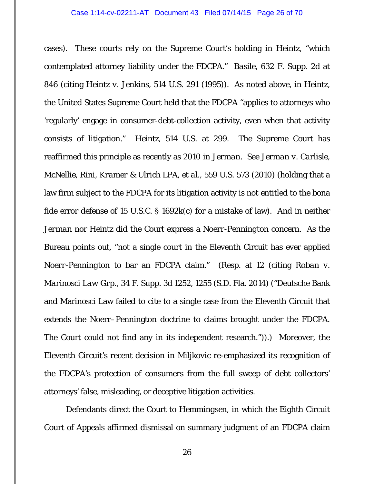cases). These courts rely on the Supreme Court's holding in *Heintz*, "which contemplated attorney liability under the FDCPA." *Basile*, 632 F. Supp. 2d at 846 (citing *Heintz v. Jenkins*, 514 U.S. 291 (1995)). As noted above, in *Heintz*, the United States Supreme Court held that the FDCPA "applies to attorneys who 'regularly' engage in consumer-debt-collection activity, even when that activity consists of litigation." *Heintz*, 514 U.S. at 299. The Supreme Court has reaffirmed this principle as recently as 2010 in *Jerman*. *See Jerman v. Carlisle, McNellie, Rini, Kramer & Ulrich LPA, et al.*, 559 U.S. 573 (2010) (holding that a law firm subject to the FDCPA for its litigation activity is not entitled to the bona fide error defense of 15 U.S.C. § 1692k(c) for a mistake of law). And in neither *Jerman* nor *Heintz* did the Court express a *Noerr-Pennington* concern. As the Bureau points out, "not a single court in the Eleventh Circuit has ever applied *Noerr-Pennington* to bar an FDCPA claim." (Resp. at 12 (citing *Roban v. Marinosci Law Grp.*, 34 F. Supp. 3d 1252, 1255 (S.D. Fla. 2014) ("Deutsche Bank and Marinosci Law failed to cite to a single case from the Eleventh Circuit that extends the Noerr–Pennington doctrine to claims brought under the FDCPA. The Court could not find any in its independent research.")).) Moreover, the Eleventh Circuit's recent decision in *Miljkovic* re-emphasized its recognition of the FDCPA's protection of consumers from the full sweep of debt collectors' attorneys' false, misleading, or deceptive litigation activities.

Defendants direct the Court to *Hemmingsen*, in which the Eighth Circuit Court of Appeals affirmed dismissal on summary judgment of an FDCPA claim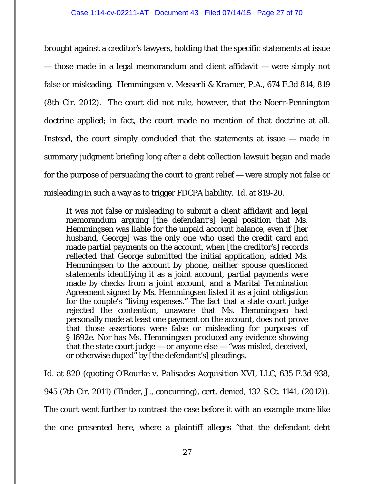brought against a creditor's lawyers, holding that the specific statements at issue — those made in a legal memorandum and client affidavit — were simply not false or misleading. *Hemmingsen v. Messerli & Kramer, P.A.*, 674 F.3d 814, 819 (8th Cir. 2012). The court did not rule, however, that the *Noerr-Pennington* doctrine applied; in fact, the court made no mention of that doctrine at all. Instead, the court simply concluded that the statements at issue — made in summary judgment briefing long after a debt collection lawsuit began and made for the purpose of persuading the court to grant relief — were simply not false or misleading in such a way as to trigger FDCPA liability. *Id.* at 819-20.

It was not false or misleading to submit a client affidavit and legal memorandum arguing [the defendant's] legal position that Ms. Hemmingsen was liable for the unpaid account balance, even if [her husband, George] was the only one who used the credit card and made partial payments on the account, when [the creditor's] records reflected that George submitted the initial application, added Ms. Hemmingsen to the account by phone, neither spouse questioned statements identifying it as a joint account, partial payments were made by checks from a joint account, and a Marital Termination Agreement signed by Ms. Hemmingsen listed it as a joint obligation for the couple's "living expenses." The fact that a state court judge rejected the contention, unaware that Ms. Hemmingsen had personally made at least one payment on the account, does not prove that those assertions were false or misleading for purposes of § 1692e. Nor has Ms. Hemmingsen produced any evidence showing that the state court judge  $-$  or anyone else  $-$  "was misled, deceived, or otherwise duped" by [the defendant's] pleadings.

*Id.* at 820 (quoting *O'Rourke v. Palisades Acquisition XVI, LLC*, 635 F.3d 938,

945 (7th Cir. 2011) (Tinder, J., concurring), cert. denied, 132 S.Ct. 1141, (2012)). The court went further to contrast the case before it with an example more like the one presented here, where a plaintiff alleges "that the defendant debt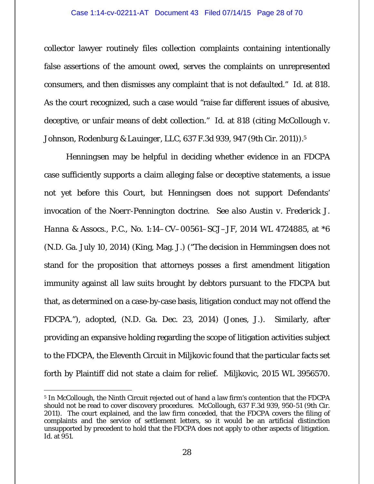collector lawyer routinely files collection complaints containing intentionally false assertions of the amount owed, serves the complaints on unrepresented consumers, and then dismisses any complaint that is not defaulted." *Id.* at 818. As the court recognized, such a case would "raise far different issues of abusive, deceptive, or unfair means of debt collection." *Id.* at 818 (citing *McCollough v. Johnson, Rodenburg & Lauinger, LLC*, 637 F.3d 939, 947 (9th Cir. 2011)).<sup>5</sup>

*Henningsen* may be helpful in deciding whether evidence in an FDCPA case sufficiently supports a claim alleging false or deceptive statements, a issue not yet before this Court, but *Henningsen* does not support Defendants' invocation of the *Noerr-Pennington* doctrine. *See also Austin v. Frederick J. Hanna & Assocs., P.C.*, No. 1:14–CV–00561–SCJ–JF, 2014 WL 4724885, at \*6 (N.D. Ga. July 10, 2014) (King, Mag. J.) ("The decision in *Hemmingsen* does not stand for the proposition that attorneys posses a first amendment litigation immunity against all law suits brought by debtors pursuant to the FDCPA but that, as determined on a case-by-case basis, litigation conduct may not offend the FDCPA."), *adopted*, (N.D. Ga. Dec. 23, 2014) (Jones, J.). Similarly, after providing an expansive holding regarding the scope of litigation activities subject to the FDCPA, the Eleventh Circuit in *Miljkovic* found that the particular facts set forth by Plaintiff did not state a claim for relief. *Miljkovic*, 2015 WL 3956570.

<sup>-</sup>5 In *McCollough*, the Ninth Circuit rejected out of hand a law firm's contention that the FDCPA should not be read to cover discovery procedures. *McCollough*, 637 F.3d 939, 950-51 (9th Cir. 2011). The court explained, and the law firm conceded, that the FDCPA covers the filing of complaints and the service of settlement letters, so it would be an artificial distinction unsupported by precedent to hold that the FDCPA does not apply to other aspects of litigation. *Id.* at 951.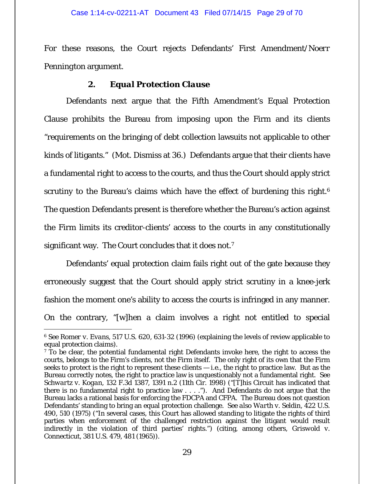For these reasons, the Court rejects Defendants' First Amendment/*Noerr Pennington* argument.

## *2. Equal Protection Clause*

Defendants next argue that the Fifth Amendment's Equal Protection Clause prohibits the Bureau from imposing upon the Firm and its clients "requirements on the bringing of debt collection lawsuits not applicable to other kinds of litigants." (Mot. Dismiss at 36.) Defendants argue that their clients have a fundamental right to access to the courts, and thus the Court should apply strict scrutiny to the Bureau's claims which have the effect of burdening this right.<sup>6</sup> The question Defendants present is therefore whether the Bureau's action against the Firm limits its creditor-clients' access to the courts in any constitutionally significant way. The Court concludes that it does not.7

Defendants' equal protection claim fails right out of the gate because they erroneously suggest that the Court should apply strict scrutiny in a knee-jerk fashion the moment one's ability to access the courts is infringed in any manner. On the contrary, "[w]hen a claim involves a right not entitled to special

 $\overline{a}$ 

<sup>6</sup> *See Romer v. Evans*, 517 U.S. 620, 631-32 (1996) (explaining the levels of review applicable to equal protection claims).

 $7$  To be clear, the potential fundamental right Defendants invoke here, the right to access the courts, belongs to the Firm's clients, not the Firm itself. The only right of its own that the Firm seeks to protect is the right to represent these clients  $-$  i.e., the right to practice law. But as the Bureau correctly notes, the right to practice law is unquestionably not a fundamental right. *See Schwartz v. Kogan*, 132 F.3d 1387, 1391 n.2 (11th Cir. 1998) ("[T]his Circuit has indicated that there is no fundamental right to practice law . . . ."). And Defendants do not argue that the Bureau lacks a rational basis for enforcing the FDCPA and CFPA. The Bureau does not question Defendants' standing to bring an equal protection challenge. *See also Warth v. Seldin*, 422 U.S. 490, 510 (1975) ("In several cases, this Court has allowed standing to litigate the rights of third parties when enforcement of the challenged restriction against the litigant would result indirectly in the violation of third parties' rights.") (citing, among others, *Griswold v. Connecticut*, 381 U.S. 479, 481 (1965)).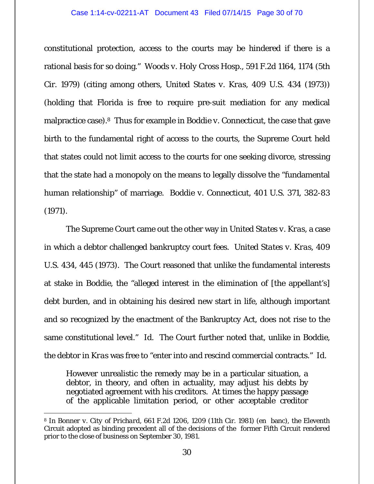#### Case 1:14-cv-02211-AT Document 43 Filed 07/14/15 Page 30 of 70

constitutional protection, access to the courts may be hindered if there is a rational basis for so doing." *Woods v. Holy Cross Hosp.*, 591 F.2d 1164, 1174 (5th Cir. 1979) (citing among others, *United States v. Kras*, 409 U.S. 434 (1973)) (holding that Florida is free to require pre-suit mediation for any medical malpractice case).8 Thus for example in *Boddie v. Connecticut*, the case that gave birth to the fundamental right of access to the courts, the Supreme Court held that states could not limit access to the courts for one seeking divorce, stressing that the state had a monopoly on the means to legally dissolve the "fundamental human relationship" of marriage. *Boddie v. Connecticut*, 401 U.S. 371, 382-83 (1971).

The Supreme Court came out the other way in *United States v. Kras*, a case in which a debtor challenged bankruptcy court fees. *United States v. Kras*, 409 U.S. 434, 445 (1973). The Court reasoned that unlike the fundamental interests at stake in *Boddie*, the "alleged interest in the elimination of [the appellant's] debt burden, and in obtaining his desired new start in life, although important and so recognized by the enactment of the Bankruptcy Act, does not rise to the same constitutional level." *Id.* The Court further noted that, unlike in *Boddie*, the debtor in *Kras* was free to "enter into and rescind commercial contracts." *Id.*

However unrealistic the remedy may be in a particular situation, a debtor, in theory, and often in actuality, may adjust his debts by negotiated agreement with his creditors. At times the happy passage of the applicable limitation period, or other acceptable creditor

 $\overline{a}$ 8 In *Bonner v. City of Prichard*, 661 F.2d 1206, 1209 (11th Cir. 1981) (en banc), the Eleventh Circuit adopted as binding precedent all of the decisions of the former Fifth Circuit rendered prior to the close of business on September 30, 1981.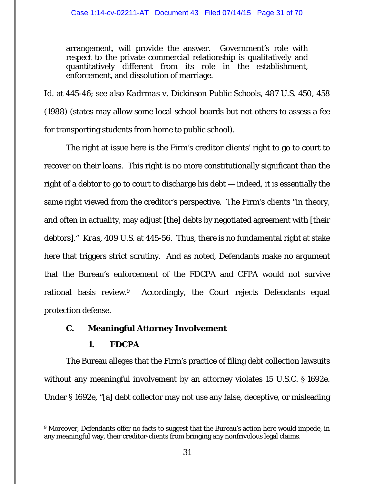arrangement, will provide the answer. Government's role with respect to the private commercial relationship is qualitatively and quantitatively different from its role in the establishment, enforcement, and dissolution of marriage.

*Id.* at 445-46; *see also Kadrmas v. Dickinson Public Schools*, 487 U.S. 450, 458 (1988) (states may allow some local school boards but not others to assess a fee for transporting students from home to public school).

The right at issue here is the Firm's creditor clients' right to go to court to recover on their loans. This right is no more constitutionally significant than the right of a debtor to go to court to discharge his debt — indeed, it is essentially the same right viewed from the creditor's perspective. The Firm's clients "in theory, and often in actuality, may adjust [the] debts by negotiated agreement with [their debtors]." *Kras*, 409 U.S. at 445-56. Thus, there is no fundamental right at stake here that triggers strict scrutiny. And as noted, Defendants make no argument that the Bureau's enforcement of the FDCPA and CFPA would not survive rational basis review.9 Accordingly, the Court rejects Defendants equal protection defense.

# **C. Meaningful Attorney Involvement**

# *1. FDCPA*

The Bureau alleges that the Firm's practice of filing debt collection lawsuits without any meaningful involvement by an attorney violates 15 U.S.C. § 1692e. Under § 1692e, "[a] debt collector may not use any false, deceptive, or misleading

 <sup>9</sup> Moreover, Defendants offer no facts to suggest that the Bureau's action here would impede, in any meaningful way, their creditor-clients from bringing any nonfrivolous legal claims.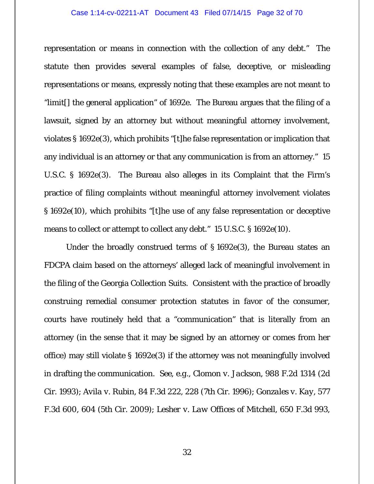#### Case 1:14-cv-02211-AT Document 43 Filed 07/14/15 Page 32 of 70

representation or means in connection with the collection of any debt." The statute then provides several examples of false, deceptive, or misleading representations or means, expressly noting that these examples are not meant to "limit[] the general application" of 1692e. The Bureau argues that the filing of a lawsuit, signed by an attorney but without meaningful attorney involvement, violates § 1692e(3), which prohibits "[t]he false representation or implication that any individual is an attorney or that any communication is from an attorney." 15 U.S.C. § 1692e(3). The Bureau also alleges in its Complaint that the Firm's practice of filing complaints without meaningful attorney involvement violates § 1692e(10), which prohibits "[t]he use of any false representation or deceptive means to collect or attempt to collect any debt." 15 U.S.C. § 1692e(10).

Under the broadly construed terms of § 1692e(3), the Bureau states an FDCPA claim based on the attorneys' alleged lack of meaningful involvement in the filing of the Georgia Collection Suits. Consistent with the practice of broadly construing remedial consumer protection statutes in favor of the consumer, courts have routinely held that a "communication" that is literally from an attorney (in the sense that it may be signed by an attorney or comes from her office) may still violate § 1692e(3) if the attorney was not meaningfully involved in drafting the communication. *See, e.g.*, *Clomon v. Jackson*, 988 F.2d 1314 (2d Cir. 1993); *Avila v. Rubin*, 84 F.3d 222, 228 (7th Cir. 1996); *Gonzales v. Kay*, 577 F.3d 600, 604 (5th Cir. 2009); *Lesher v. Law Offices of Mitchell*, 650 F.3d 993,

32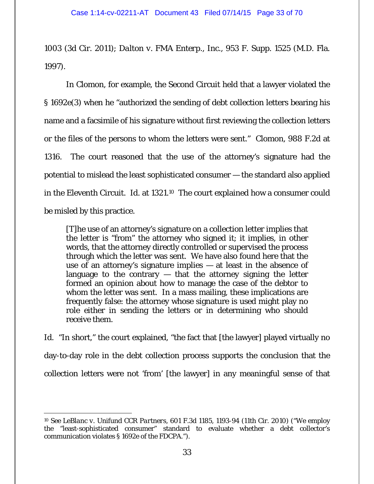1003 (3d Cir. 2011); *Dalton v. FMA Enterp., Inc.*, 953 F. Supp. 1525 (M.D. Fla. 1997).

In *Clomon*, for example, the Second Circuit held that a lawyer violated the § 1692e(3) when he "authorized the sending of debt collection letters bearing his name and a facsimile of his signature without first reviewing the collection letters or the files of the persons to whom the letters were sent." *Clomon*, 988 F.2d at 1316. The court reasoned that the use of the attorney's signature had the potential to mislead the least sophisticated consumer — the standard also applied in the Eleventh Circuit. *Id.* at 1321.10 The court explained how a consumer could be misled by this practice.

[T]he use of an attorney's signature on a collection letter implies that the letter is "from" the attorney who signed it; it implies, in other words, that the attorney directly controlled or supervised the process through which the letter was sent. We have also found here that the use of an attorney's signature implies — at least in the absence of language to the contrary  $-$  that the attorney signing the letter formed an opinion about how to manage the case of the debtor to whom the letter was sent. In a mass mailing, these implications are frequently false: the attorney whose signature is used might play no role either in sending the letters or in determining who should receive them.

*Id.* "In short," the court explained, "the fact that [the lawyer] played virtually no day-to-day role in the debt collection process supports the conclusion that the collection letters were not 'from' [the lawyer] in any meaningful sense of that

 $\overline{a}$ <sup>10</sup> *See LeBlanc v. Unifund CCR Partners*, 601 F.3d 1185, 1193-94 (11th Cir. 2010) ("We employ the "least-sophisticated consumer" standard to evaluate whether a debt collector's communication violates § 1692e of the FDCPA.").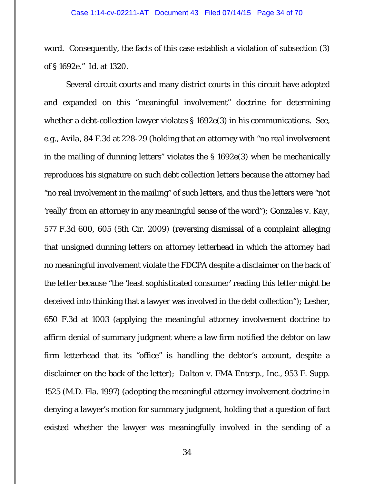word. Consequently, the facts of this case establish a violation of subsection (3) of § 1692e." *Id.* at 1320.

Several circuit courts and many district courts in this circuit have adopted and expanded on this "meaningful involvement" doctrine for determining whether a debt-collection lawyer violates § 1692e(3) in his communications. *See, e.g.*, *Avila*, 84 F.3d at 228-29 (holding that an attorney with "no real involvement in the mailing of dunning letters" violates the § 1692e(3) when he mechanically reproduces his signature on such debt collection letters because the attorney had "no real involvement in the mailing" of such letters, and thus the letters were "not 'really' from an attorney in any meaningful sense of the word"); *Gonzales v. Kay*, 577 F.3d 600, 605 (5th Cir. 2009) (reversing dismissal of a complaint alleging that unsigned dunning letters on attorney letterhead in which the attorney had no meaningful involvement violate the FDCPA despite a disclaimer on the back of the letter because "the 'least sophisticated consumer' reading this letter might be deceived into thinking that a lawyer was involved in the debt collection"); *Lesher*, 650 F.3d at 1003 (applying the meaningful attorney involvement doctrine to affirm denial of summary judgment where a law firm notified the debtor on law firm letterhead that its "office" is handling the debtor's account, despite a disclaimer on the back of the letter); *Dalton v. FMA Enterp., Inc.*, 953 F. Supp. 1525 (M.D. Fla. 1997) (adopting the meaningful attorney involvement doctrine in denying a lawyer's motion for summary judgment, holding that a question of fact existed whether the lawyer was meaningfully involved in the sending of a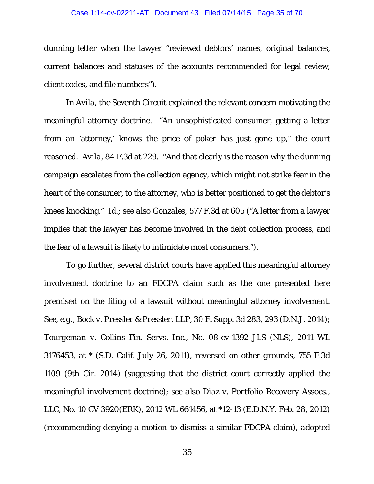#### Case 1:14-cv-02211-AT Document 43 Filed 07/14/15 Page 35 of 70

dunning letter when the lawyer "reviewed debtors' names, original balances, current balances and statuses of the accounts recommended for legal review, client codes, and file numbers").

In *Avila*, the Seventh Circuit explained the relevant concern motivating the meaningful attorney doctrine. "An unsophisticated consumer, getting a letter from an 'attorney,' knows the price of poker has just gone up," the court reasoned. *Avila*, 84 F.3d at 229. "And that clearly is the reason why the dunning campaign escalates from the collection agency, which might not strike fear in the heart of the consumer, to the attorney, who is better positioned to get the debtor's knees knocking." *Id.*; *see also Gonzales*, 577 F.3d at 605 ("A letter from a lawyer implies that the lawyer has become involved in the debt collection process, and the fear of a lawsuit is likely to intimidate most consumers.").

 To go further, several district courts have applied this meaningful attorney involvement doctrine to an FDCPA claim such as the one presented here premised on the filing of a lawsuit without meaningful attorney involvement. *See, e.g.*, *Bock v. Pressler & Pressler, LLP*, 30 F. Supp. 3d 283, 293 (D.N.J. 2014); *Tourgeman v. Collins Fin. Servs. Inc.*, No. 08-cv-1392 JLS (NLS), 2011 WL 3176453, at \* (S.D. Calif. July 26, 2011), *reversed on other grounds*, 755 F.3d 1109 (9th Cir. 2014) (suggesting that the district court correctly applied the meaningful involvement doctrine); *see also Diaz v. Portfolio Recovery Assocs., LLC*, No. 10 CV 3920(ERK), 2012 WL 661456, at \*12-13 (E.D.N.Y. Feb. 28, 2012) (recommending denying a motion to dismiss a similar FDCPA claim), *adopted*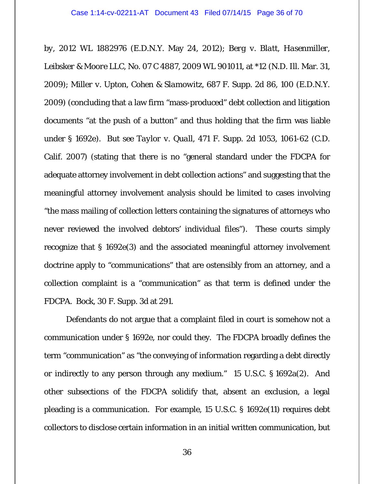*by*, 2012 WL 1882976 (E.D.N.Y. May 24, 2012); *Berg v. Blatt, Hasenmiller, Leibsker & Moore LLC*, No. 07 C 4887, 2009 WL 901011, at \*12 (N.D. Ill. Mar. 31, 2009); *Miller v. Upton, Cohen & Slamowitz*, 687 F. Supp. 2d 86, 100 (E.D.N.Y. 2009) (concluding that a law firm "mass-produced" debt collection and litigation documents "at the push of a button" and thus holding that the firm was liable under § 1692e). *But see Taylor v. Quall*, 471 F. Supp. 2d 1053, 1061-62 (C.D. Calif. 2007) (stating that there is no "general standard under the FDCPA for adequate attorney involvement in debt collection actions" and suggesting that the meaningful attorney involvement analysis should be limited to cases involving "the mass mailing of collection letters containing the signatures of attorneys who never reviewed the involved debtors' individual files"). These courts simply recognize that § 1692e(3) and the associated meaningful attorney involvement doctrine apply to "communications" that are ostensibly from an attorney, and a collection complaint is a "communication" as that term is defined under the FDCPA. *Bock*, 30 F. Supp. 3d at 291.

 Defendants do not argue that a complaint filed in court is somehow not a communication under § 1692e, nor could they. The FDCPA broadly defines the term "communication" as "the conveying of information regarding a debt directly or indirectly to any person through any medium." 15 U.S.C. § 1692a(2). And other subsections of the FDCPA solidify that, absent an exclusion, a legal pleading is a communication. For example, 15 U.S.C. § 1692e(11) requires debt collectors to disclose certain information in an initial written communication, but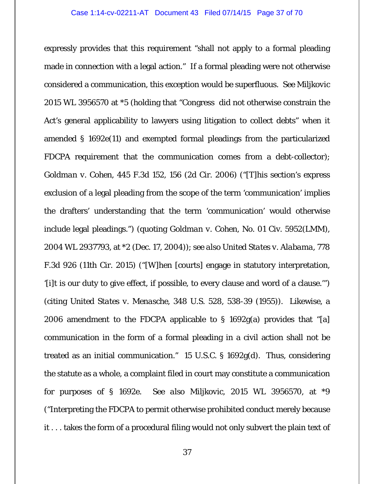expressly provides that this requirement "shall not apply to a formal pleading made in connection with a legal action." If a formal pleading were not otherwise considered a communication, this exception would be superfluous. *See Miljkovic*  2015 WL 3956570 at \*5 (holding that "Congress did not otherwise constrain the Act's general applicability to lawyers using litigation to collect debts" when it amended § 1692e(11) and exempted formal pleadings from the particularized FDCPA requirement that the communication comes from a debt-collector); *Goldman v. Cohen*, 445 F.3d 152, 156 (2d Cir. 2006) ("[T]his section's express exclusion of a legal pleading from the scope of the term 'communication' implies the drafters' understanding that the term 'communication' would otherwise include legal pleadings.") (quoting *Goldman v. Cohen*, No. 01 Civ. 5952(LMM), 2004 WL 2937793, at \*2 (Dec. 17, 2004)); *see also United States v. Alabama*, 778 F.3d 926 (11th Cir. 2015) ("[W]hen [courts] engage in statutory interpretation, '[i]t is our duty to give effect, if possible, to every clause and word of a clause.'") (citing *United States v. Menasche*, 348 U.S. 528, 538-39 (1955)). Likewise, a 2006 amendment to the FDCPA applicable to  $\S$  1692g(a) provides that "[a] communication in the form of a formal pleading in a civil action shall not be treated as an initial communication." 15 U.S.C. § 1692g(d). Thus, considering the statute as a whole, a complaint filed in court may constitute a communication for purposes of § 1692e. *See also Miljkovic*, 2015 WL 3956570, at \*9 ("Interpreting the FDCPA to permit otherwise prohibited conduct merely because it . . . takes the form of a procedural filing would not only subvert the plain text of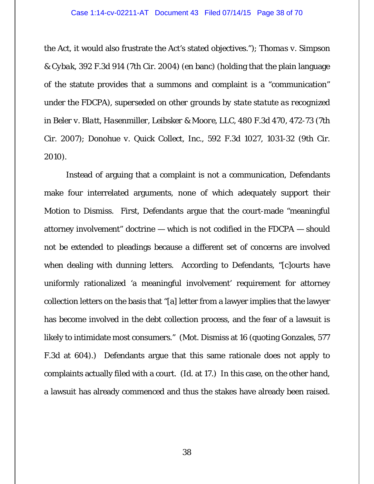the Act, it would also frustrate the Act's stated objectives."); *Thomas v. Simpson & Cybak*, 392 F.3d 914 (7th Cir. 2004) (en banc) (holding that the plain language of the statute provides that a summons and complaint is a "communication" under the FDCPA)*, superseded on other grounds by state statute as recognized in Beler v. Blatt, Hasenmiller, Leibsker & Moore, LLC*, 480 F.3d 470, 472-73 (7th Cir. 2007); *Donohue v. Quick Collect, Inc.*, 592 F.3d 1027, 1031-32 (9th Cir. 2010).

Instead of arguing that a complaint is not a communication, Defendants make four interrelated arguments, none of which adequately support their Motion to Dismiss. First, Defendants argue that the court-made "meaningful attorney involvement" doctrine — which is not codified in the FDCPA — should not be extended to pleadings because a different set of concerns are involved when dealing with dunning letters. According to Defendants, "[c]ourts have uniformly rationalized 'a meaningful involvement' requirement for attorney collection letters on the basis that "[a] letter from a lawyer implies that the lawyer has become involved in the debt collection process, and the fear of a lawsuit is likely to intimidate most consumers." (Mot. Dismiss at 16 (quoting *Gonzales*, 577 F.3d at 604).) Defendants argue that this same rationale does not apply to complaints actually filed with a court. (*Id.* at 17.) In this case, on the other hand, a lawsuit has already commenced and thus the stakes have already been raised.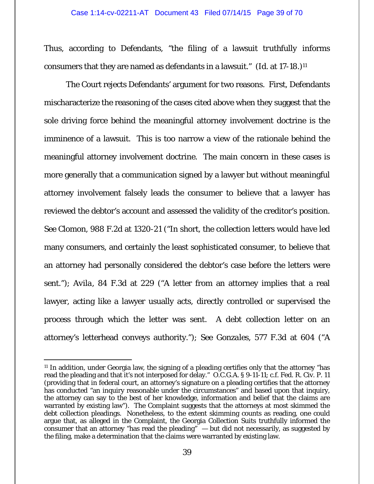Thus, according to Defendants, "the filing of a lawsuit *truthfully* informs consumers that they are named as defendants in a lawsuit." (*Id.* at 17-18.)11

The Court rejects Defendants' argument for two reasons. First, Defendants mischaracterize the reasoning of the cases cited above when they suggest that the sole driving force behind the meaningful attorney involvement doctrine is the imminence of a lawsuit. This is too narrow a view of the rationale behind the meaningful attorney involvement doctrine. The main concern in these cases is more generally that a communication signed by a lawyer but without meaningful attorney involvement falsely leads the consumer to believe that a lawyer has reviewed the debtor's account and assessed the validity of the creditor's position. *See Clomon*, 988 F.2d at 1320-21 ("In short, the collection letters would have led many consumers, and certainly the least sophisticated consumer, to believe that an attorney had personally considered the debtor's case before the letters were sent."); *Avila*, 84 F.3d at 229 ("A letter from an attorney implies that a real lawyer, acting like a lawyer usually acts, directly controlled or supervised the process through which the letter was sent. A debt collection letter on an attorney's letterhead conveys authority."); *See Gonzales*, 577 F.3d at 604 ("A

 $\overline{a}$ 

<sup>11</sup> In addition, under Georgia law, the signing of a pleading certifies only that the attorney "has read the pleading and that it's not interposed for delay." O.C.G.A. § 9-11-11; *c.f.* Fed. R. Civ. P. 11 (providing that in federal court, an attorney's signature on a pleading certifies that the attorney has conducted "an inquiry reasonable under the circumstances" and based upon that inquiry, the attorney can say to the best of her knowledge, information and belief that the claims are warranted by existing law"). The Complaint suggests that the attorneys at most skimmed the debt collection pleadings. Nonetheless, to the extent skimming counts as reading, one could argue that, as alleged in the Complaint, the Georgia Collection Suits truthfully informed the consumer that an attorney "has read the pleading" — but did not necessarily, as suggested by the filing, make a determination that the claims were warranted by existing law.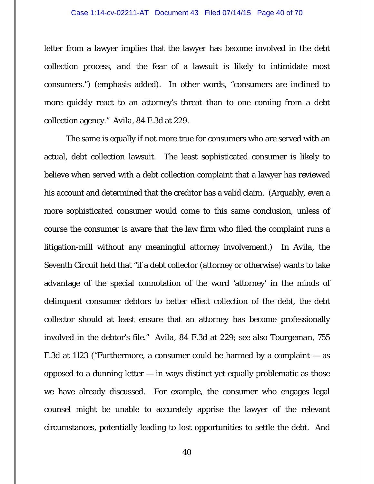#### Case 1:14-cv-02211-AT Document 43 Filed 07/14/15 Page 40 of 70

letter from a lawyer implies that the lawyer has become involved in the debt collection process, *and* the fear of a lawsuit is likely to intimidate most consumers.") (emphasis added). In other words, "consumers are inclined to more quickly react to an attorney's threat than to one coming from a debt collection agency." *Avila*, 84 F.3d at 229.

The same is equally if not more true for consumers who are served with an actual, debt collection lawsuit. The least sophisticated consumer is likely to believe when served with a debt collection complaint that a lawyer has reviewed his account and determined that the creditor has a valid claim. (Arguably, even a more sophisticated consumer would come to this same conclusion, unless of course the consumer is aware that the law firm who filed the complaint runs a litigation-mill without any meaningful attorney involvement.) In *Avila*, the Seventh Circuit held that "if a debt collector (attorney or otherwise) wants to take advantage of the special connotation of the word 'attorney' in the minds of delinquent consumer debtors to better effect collection of the debt, the debt collector should at least ensure that an attorney has become professionally involved in the debtor's file." *Avila*, 84 F.3d at 229; *see also Tourgeman*, 755 F.3d at 1123 ("Furthermore, a consumer could be harmed by a complaint — as opposed to a dunning letter  $-$  in ways distinct yet equally problematic as those we have already discussed. For example, the consumer who engages legal counsel might be unable to accurately apprise the lawyer of the relevant circumstances, potentially leading to lost opportunities to settle the debt. And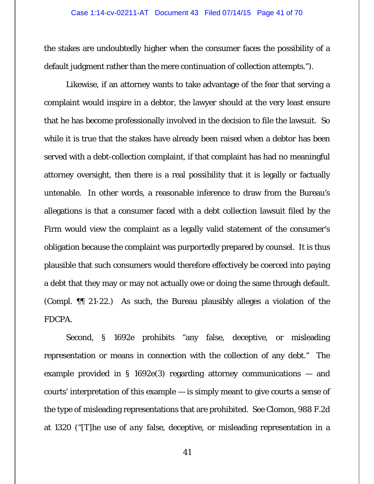the stakes are undoubtedly higher when the consumer faces the possibility of a default judgment rather than the mere continuation of collection attempts.").

Likewise, if an attorney wants to take advantage of the fear that serving a complaint would inspire in a debtor, the lawyer should at the very least ensure that he has become professionally involved in the decision to file the lawsuit. So while it is true that the stakes have already been raised when a debtor has been served with a debt-collection complaint, if that complaint has had no meaningful attorney oversight, then there is a real possibility that it is legally or factually untenable. In other words, a reasonable inference to draw from the Bureau's allegations is that a consumer faced with a debt collection lawsuit filed by the Firm would view the complaint as a legally valid statement of the consumer's obligation because the complaint was purportedly prepared by counsel. It is thus plausible that such consumers would therefore effectively be coerced into paying a debt that they may or may not actually owe or doing the same through default. (Compl. ¶¶ 21-22.) As such, the Bureau plausibly alleges a violation of the FDCPA.

Second, § 1692e prohibits "any false, deceptive, or misleading representation or means in connection with the collection of any debt." The example provided in § 1692e(3) regarding attorney communications  $-$  and courts' interpretation of this example — is simply meant to give courts a sense of the type of misleading representations that are prohibited. *See Clomon*, 988 F.2d at 1320 ("[T]he use of *any* false, deceptive, or misleading representation in a

41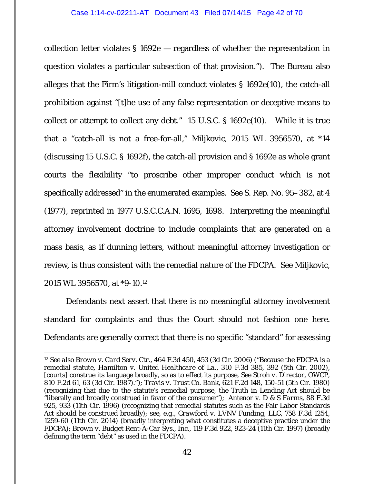collection letter violates § 1692e — regardless of whether the representation in question violates a particular subsection of that provision."). The Bureau also alleges that the Firm's litigation-mill conduct violates § 1692e(10), the catch-all prohibition against "[t]he use of any false representation or deceptive means to collect or attempt to collect any debt." 15 U.S.C. § 1692e(10). While it is true that a "catch-all is not a free-for-all," *Miljkovic*, 2015 WL 3956570, at \*14 (discussing 15 U.S.C. § 1692f), the catch-all provision and § 1692e as whole grant courts the flexibility "to proscribe other improper conduct which is not specifically addressed" in the enumerated examples. *See* S. Rep. No. 95–382, at 4 (1977), reprinted in 1977 U.S.C.C.A.N. 1695, 1698. Interpreting the meaningful attorney involvement doctrine to include complaints that are generated on a mass basis, as if dunning letters, without meaningful attorney investigation or review, is thus consistent with the remedial nature of the FDCPA. *See Miljkovic*, 2015 WL 3956570, at \*9-10.12

Defendants next assert that there is no meaningful attorney involvement standard for complaints and thus the Court should not fashion one here. Defendants are generally correct that there is no specific "standard" for assessing

<sup>12</sup> *See also Brown v. Card Serv. Ctr.*, 464 F.3d 450, 453 (3d Cir. 2006) ("Because the FDCPA is a remedial statute, *Hamilton v. United Healthcare of La*., 310 F.3d 385, 392 (5th Cir. 2002), [courts] construe its language broadly, so as to effect its purpose, *See Stroh v. Director, OWCP*, 810 F.2d 61, 63 (3d Cir. 1987)."); *Travis v. Trust Co. Bank*, 621 F.2d 148, 150-51 (5th Cir. 1980) (recognizing that due to the statute's remedial purpose, the Truth in Lending Act should be "liberally and broadly construed in favor of the consumer"); *Antenor v. D & S Farms*, 88 F.3d 925, 933 (11th Cir. 1996) (recognizing that remedial statutes such as the Fair Labor Standards Act should be construed broadly); *see, e.g.*, *Crawford v. LVNV Funding, LLC*, 758 F.3d 1254, 1259-60 (11th Cir. 2014) (broadly interpreting what constitutes a deceptive practice under the FDCPA); *Brown v. Budget Rent-A-Car Sys., Inc.*, 119 F.3d 922, 923-24 (11th Cir. 1997) (broadly defining the term "debt" as used in the FDCPA).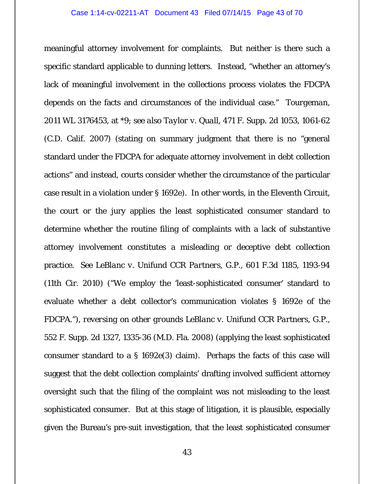meaningful attorney involvement for complaints. But neither is there such a specific standard applicable to dunning letters. Instead, "whether an attorney's lack of meaningful involvement in the collections process violates the FDCPA depends on the facts and circumstances of the individual case." *Tourgeman*, 2011 WL 3176453, at \*9; *see also Taylor v. Quall*, 471 F. Supp. 2d 1053, 1061-62 (C.D. Calif. 2007) (stating on summary judgment that there is no "general standard under the FDCPA for adequate attorney involvement in debt collection actions" and instead, courts consider whether the circumstance of the particular case result in a violation under § 1692e). In other words, in the Eleventh Circuit, the court or the jury applies the least sophisticated consumer standard to determine whether the routine filing of complaints with a lack of substantive attorney involvement constitutes a misleading or deceptive debt collection practice. *See LeBlanc v. Unifund CCR Partners, G.P.*, 601 F.3d 1185, 1193-94 (11th Cir. 2010) ("We employ the 'least-sophisticated consumer' standard to evaluate whether a debt collector's communication violates § 1692e of the FDCPA."), *reversing on other grounds LeBlanc v. Unifund CCR Partners, G.P.*, 552 F. Supp. 2d 1327, 1335-36 (M.D. Fla. 2008) (applying the least sophisticated consumer standard to a § 1692e(3) claim). Perhaps the facts of this case will suggest that the debt collection complaints' drafting involved sufficient attorney oversight such that the filing of the complaint was not misleading to the least sophisticated consumer. But at this stage of litigation, it is plausible, especially given the Bureau's pre-suit investigation, that the least sophisticated consumer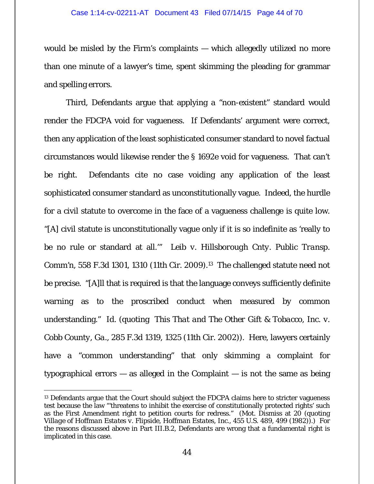would be misled by the Firm's complaints — which allegedly utilized no more than one minute of a lawyer's time, spent skimming the pleading for grammar and spelling errors.

Third, Defendants argue that applying a "non-existent" standard would render the FDCPA void for vagueness. If Defendants' argument were correct, then any application of the least sophisticated consumer standard to novel factual circumstances would likewise render the § 1692e void for vagueness. That can't be right. Defendants cite no case voiding any application of the least sophisticated consumer standard as unconstitutionally vague. Indeed, the hurdle for a civil statute to overcome in the face of a vagueness challenge is quite low. "[A] civil statute is unconstitutionally vague only if it is so indefinite as 'really to be no rule or standard at all.'" *Leib v. Hillsborough Cnty. Public Transp. Comm'n*, 558 F.3d 1301, 1310 (11th Cir. 2009).<sup>13</sup> The challenged statute need not be precise. "[A]ll that is required is that the language conveys sufficiently definite warning as to the proscribed conduct when measured by common understanding." *Id.* (quoting *This That and The Other Gift & Tobacco, Inc. v. Cobb County, Ga.*, 285 F.3d 1319, 1325 (11th Cir. 2002)). Here, lawyers certainly have a "common understanding" that only skimming a complaint for typographical errors  $-$  as alleged in the Complaint  $-$  is not the same as being

 $\overline{a}$ 

<sup>&</sup>lt;sup>13</sup> Defendants argue that the Court should subject the FDCPA claims here to stricter vagueness test because the law "'threatens to inhibit the exercise of constitutionally protected rights' such as the First Amendment right to petition courts for redress." (Mot. Dismiss at 20 (quoting *Village of Hoffman Estates v. Flipside, Hoffman Estates, Inc.*, 455 U.S. 489, 499 (1982)).) For the reasons discussed above in Part III.B.2, Defendants are wrong that a fundamental right is implicated in this case.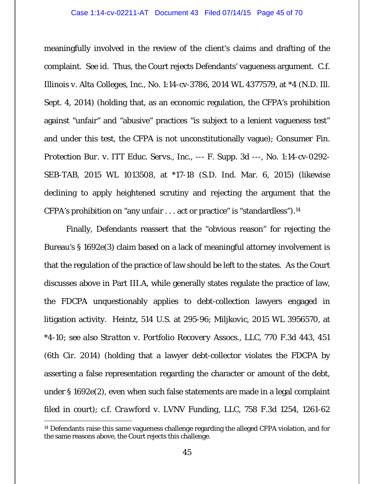meaningfully involved in the review of the client's claims and drafting of the complaint. *See id.* Thus, the Court rejects Defendants' vagueness argument. *C.f. Illinois v. Alta Colleges, Inc.*, No. 1:14-cv-3786, 2014 WL 4377579, at \*4 (N.D. Ill. Sept. 4, 2014) (holding that, as an economic regulation, the CFPA's prohibition against "unfair" and "abusive" practices "is subject to a lenient vagueness test" and under this test, the CFPA is not unconstitutionally vague); *Consumer Fin. Protection Bur. v. ITT Educ. Servs., Inc.*, --- F. Supp. 3d ---, No. 1:14-cv-0292- SEB-TAB, 2015 WL 1013508, at \*17-18 (S.D. Ind. Mar. 6, 2015) (likewise declining to apply heightened scrutiny and rejecting the argument that the CFPA's prohibition on "any unfair . . . act or practice" is "standardless").14

Finally, Defendants reassert that the "obvious reason" for rejecting the Bureau's § 1692e(3) claim based on a lack of meaningful attorney involvement is that the regulation of the practice of law should be left to the states. As the Court discusses above in Part III.A, while generally states regulate the practice of law, the FDCPA unquestionably applies to debt-collection lawyers engaged in litigation activity. *Heintz*, 514 U.S. at 295-96; *Miljkovic*, 2015 WL 3956570, at \*4-10; *see also Stratton v. Portfolio Recovery Assocs., LLC*, 770 F.3d 443, 451 (6th Cir. 2014) (holding that a lawyer debt-collector violates the FDCPA by asserting a false representation regarding the character or amount of the debt, under § 1692e(2), even when such false statements are made in a legal complaint filed in court); *c.f. Crawford v. LVNV Funding, LLC*, 758 F.3d 1254, 1261-62

<sup>&</sup>lt;sup>14</sup> Defendants raise this same vagueness challenge regarding the alleged CFPA violation, and for the same reasons above, the Court rejects this challenge.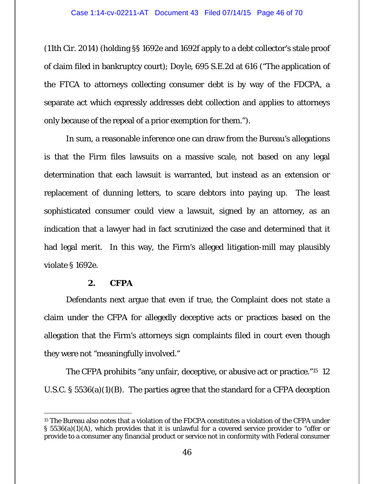(11th Cir. 2014) (holding §§ 1692e and 1692f apply to a debt collector's stale proof of claim filed in bankruptcy court); *Doyle*, 695 S.E.2d at 616 ("The application of the FTCA to attorneys collecting consumer debt is by way of the FDCPA, a separate act which expressly addresses debt collection and applies to attorneys only because of the repeal of a prior exemption for them.").

In sum, a reasonable inference one can draw from the Bureau's allegations is that the Firm files lawsuits on a massive scale, not based on any legal determination that each lawsuit is warranted, but instead as an extension or replacement of dunning letters, to scare debtors into paying up. The least sophisticated consumer could view a lawsuit, signed by an attorney, as an indication that a lawyer had in fact scrutinized the case and determined that it had legal merit. In this way, the Firm's alleged litigation-mill may plausibly violate § 1692e.

# *2. CFPA*

Defendants next argue that even if true, the Complaint does not state a claim under the CFPA for allegedly deceptive acts or practices based on the allegation that the Firm's attorneys sign complaints filed in court even though they were not "meaningfully involved."

The CFPA prohibits "any unfair, deceptive, or abusive act or practice."15 12 U.S.C. § 5536(a)(1)(B). The parties agree that the standard for a CFPA deception

<sup>-</sup>15 The Bureau also notes that a violation of the FDCPA constitutes a violation of the CFPA under  $\S$  5536(a)(1)(A), which provides that it is unlawful for a covered service provider to "offer or provide to a consumer any financial product or service not in conformity with Federal consumer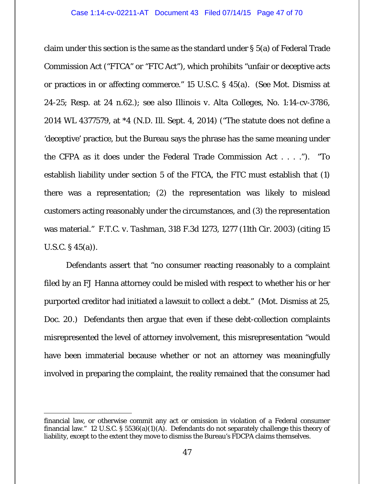claim under this section is the same as the standard under § 5(a) of Federal Trade Commission Act ("FTCA" or "FTC Act"), which prohibits "unfair or deceptive acts or practices in or affecting commerce." 15 U.S.C. § 45(a). (*See* Mot. Dismiss at 24-25; Resp. at 24 n.62.); *see also Illinois v. Alta Colleges*, No. 1:14-cv-3786, 2014 WL 4377579, at \*4 (N.D. Ill. Sept. 4, 2014) ("The statute does not define a 'deceptive' practice, but the Bureau says the phrase has the same meaning under the CFPA as it does under the Federal Trade Commission Act . . . ."). "To establish liability under section 5 of the FTCA, the FTC must establish that (1) there was a representation; (2) the representation was likely to mislead customers acting reasonably under the circumstances, and (3) the representation was material." *F.T.C. v. Tashman*, 318 F.3d 1273, 1277 (11th Cir. 2003) (citing 15 U.S.C.  $\S$  45(a)).

Defendants assert that "no consumer reacting reasonably to a complaint filed by an FJ Hanna attorney could be misled with respect to whether his or her purported creditor had initiated a lawsuit to collect a debt." (Mot. Dismiss at 25, Doc. 20.) Defendants then argue that even if these debt-collection complaints misrepresented the level of attorney involvement, this misrepresentation "would have been immaterial because whether or not an attorney was meaningfully involved in preparing the complaint, the reality remained that the consumer had

financial law, or otherwise commit any act or omission in violation of a Federal consumer financial law." 12 U.S.C.  $\S 5536(a)(1)(A)$ . Defendants do not separately challenge this theory of liability, except to the extent they move to dismiss the Bureau's FDCPA claims themselves.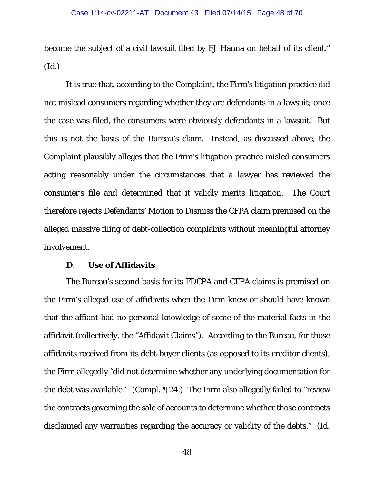become the subject of a civil lawsuit filed by FJ Hanna on behalf of its client." (*Id.*)

It is true that, according to the Complaint, the Firm's litigation practice did not mislead consumers regarding whether they are defendants in a lawsuit; once the case was filed, the consumers were obviously defendants in a lawsuit. But this is not the basis of the Bureau's claim. Instead, as discussed above, the Complaint plausibly alleges that the Firm's litigation practice misled consumers acting reasonably under the circumstances that a lawyer has reviewed the consumer's file and determined that it validly merits litigation. The Court therefore rejects Defendants' Motion to Dismiss the CFPA claim premised on the alleged massive filing of debt-collection complaints without meaningful attorney involvement.

#### **D. Use of Affidavits**

The Bureau's second basis for its FDCPA and CFPA claims is premised on the Firm's alleged use of affidavits when the Firm knew or should have known that the affiant had no personal knowledge of some of the material facts in the affidavit (collectively, the "Affidavit Claims"). According to the Bureau, for those affidavits received from its debt-buyer clients (as opposed to its creditor clients), the Firm allegedly "did not determine whether any underlying documentation for the debt was available." (Compl. ¶ 24.) The Firm also allegedly failed to "review the contracts governing the sale of accounts to determine whether those contracts disclaimed any warranties regarding the accuracy or validity of the debts." (*Id.*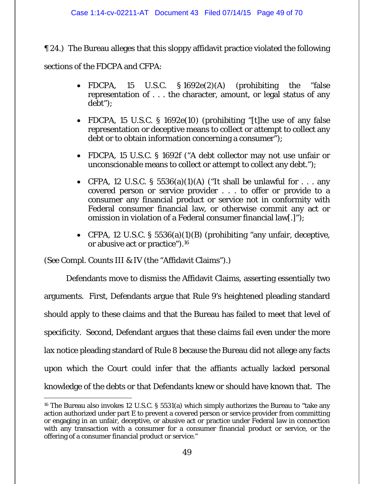¶ 24.) The Bureau alleges that this sloppy affidavit practice violated the following sections of the FDCPA and CFPA:

- FDCPA, 15 U.S.C. § 1692e(2)(A) (prohibiting the "false representation of . . . the character, amount, or legal status of any debt");
- FDCPA, 15 U.S.C. § 1692e(10) (prohibiting "[t]he use of any false representation or deceptive means to collect or attempt to collect any debt or to obtain information concerning a consumer");
- FDCPA, 15 U.S.C. § 1692f ("A debt collector may not use unfair or unconscionable means to collect or attempt to collect any debt.");
- CFPA, 12 U.S.C. § 5536(a)(1)(A) ("It shall be unlawful for  $\dots$  any covered person or service provider . . . to offer or provide to a consumer any financial product or service not in conformity with Federal consumer financial law, or otherwise commit any act or omission in violation of a Federal consumer financial law[.]");
- CFPA, 12 U.S.C. § 5536(a)(1)(B) (prohibiting "any unfair, deceptive, or abusive act or practice").16

(*See* Compl. Counts III & IV (the "Affidavit Claims").)

Defendants move to dismiss the Affidavit Claims, asserting essentially two arguments. First, Defendants argue that Rule 9's heightened pleading standard should apply to these claims and that the Bureau has failed to meet that level of specificity. Second, Defendant argues that these claims fail even under the more lax notice pleading standard of Rule 8 because the Bureau did not allege any facts upon which the Court could infer that the affiants actually lacked personal knowledge of the debts or that Defendants knew or should have known that. The

 <sup>16</sup> The Bureau also invokes 12 U.S.C. § 5531(a) which simply authorizes the Bureau to "take any action authorized under part E to prevent a covered person or service provider from committing or engaging in an unfair, deceptive, or abusive act or practice under Federal law in connection with any transaction with a consumer for a consumer financial product or service, or the offering of a consumer financial product or service."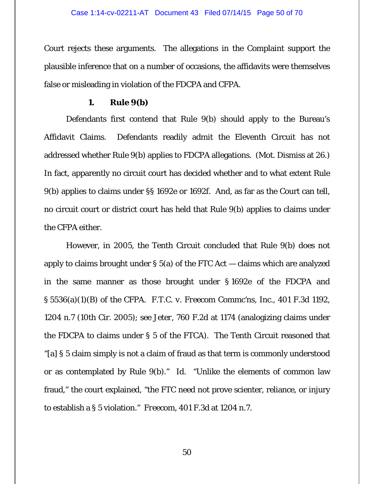Court rejects these arguments. The allegations in the Complaint support the plausible inference that on a number of occasions, the affidavits were themselves false or misleading in violation of the FDCPA and CFPA.

### *1. Rule 9(b)*

Defendants first contend that Rule 9(b) should apply to the Bureau's Affidavit Claims. Defendants readily admit the Eleventh Circuit has not addressed whether Rule 9(b) applies to FDCPA allegations. (Mot. Dismiss at 26.) In fact, apparently no circuit court has decided whether and to what extent Rule 9(b) applies to claims under §§ 1692e or 1692f. And, as far as the Court can tell, no circuit court or district court has held that Rule 9(b) applies to claims under the CFPA either.

However, in 2005, the Tenth Circuit concluded that Rule 9(b) does not apply to claims brought under  $\S$  5(a) of the FTC Act — claims which are analyzed in the same manner as those brought under § 1692e of the FDCPA and § 5536(a)(1)(B) of the CFPA. *F.T.C. v. Freecom Commc'ns, Inc.*, 401 F.3d 1192, 1204 n.7 (10th Cir. 2005); *see Jeter*, 760 F.2d at 1174 (analogizing claims under the FDCPA to claims under § 5 of the FTCA). The Tenth Circuit reasoned that "[a] § 5 claim simply is not a claim of fraud as that term is commonly understood or as contemplated by Rule 9(b)." *Id.* "Unlike the elements of common law fraud," the court explained, "the FTC need not prove scienter, reliance, or injury to establish a § 5 violation." *Freecom*, 401 F.3d at 1204 n.7.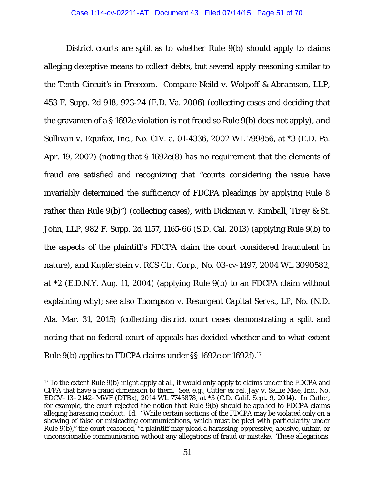District courts are split as to whether Rule 9(b) should apply to claims alleging deceptive means to collect debts, but several apply reasoning similar to the Tenth Circuit's in *Freecom*. *Compare Neild v. Wolpoff & Abramson, LLP*, 453 F. Supp. 2d 918, 923-24 (E.D. Va. 2006) (collecting cases and deciding that the gravamen of a § 1692e violation is not fraud so Rule 9(b) does not apply), *and Sullivan v. Equifax, Inc.*, No. CIV. a. 01-4336, 2002 WL 799856, at \*3 (E.D. Pa. Apr. 19, 2002) (noting that § 1692e(8) has no requirement that the elements of fraud are satisfied and recognizing that "courts considering the issue have invariably determined the sufficiency of FDCPA pleadings by applying Rule 8 rather than Rule 9(b)") (collecting cases), *with Dickman v. Kimball, Tirey & St. John, LLP*, 982 F. Supp. 2d 1157, 1165-66 (S.D. Cal. 2013) (applying Rule 9(b) to the aspects of the plaintiff's FDCPA claim the court considered fraudulent in nature), *and Kupferstein v. RCS Ctr. Corp.*, No. 03-cv-1497, 2004 WL 3090582, at \*2 (E.D.N.Y. Aug. 11, 2004) (applying Rule 9(b) to an FDCPA claim without explaining why); *see also Thompson v. Resurgent Capital Servs., LP*, No. (N.D. Ala. Mar. 31, 2015) (collecting district court cases demonstrating a split and noting that no federal court of appeals has decided whether and to what extent Rule 9(b) applies to FDCPA claims under §§ 1692e or 1692f).17

 $\overline{a}$ <sup>17</sup> To the extent Rule 9(b) might apply at all, it would only apply to claims under the FDCPA and CFPA that have a fraud dimension to them. *See, e.g.*, *Cutler ex rel. Jay v. Sallie Mae, Inc.*, No. EDCV–13–2142–MWF (DTBx), 2014 WL 7745878, at \*3 (C.D. Calif. Sept. 9, 2014). In *Cutler*, for example, the court rejected the notion that Rule 9(b) should be applied to FDCPA claims alleging harassing conduct. *Id.* "While certain sections of the FDCPA may be violated only on a showing of false or misleading communications, which must be pled with particularity under Rule 9(b)," the court reasoned, "a plaintiff may plead a harassing, oppressive, abusive, unfair, or unconscionable communication without any allegations of fraud or mistake. These allegations,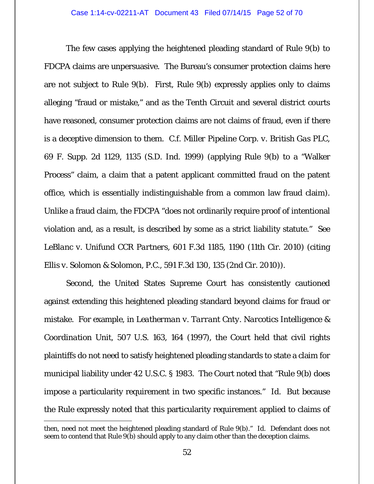The few cases applying the heightened pleading standard of Rule 9(b) to FDCPA claims are unpersuasive. The Bureau's consumer protection claims here are not subject to Rule 9(b). First, Rule 9(b) expressly applies only to claims alleging "fraud or mistake," and as the Tenth Circuit and several district courts have reasoned, consumer protection claims are not claims of fraud, even if there is a deceptive dimension to them. *C.f. Miller Pipeline Corp. v. British Gas PLC*, 69 F. Supp. 2d 1129, 1135 (S.D. Ind. 1999) (applying Rule 9(b) to a "Walker Process" claim, a claim that a patent applicant committed fraud on the patent office, which is essentially indistinguishable from a common law fraud claim). Unlike a fraud claim, the FDCPA "does not ordinarily require proof of intentional violation and, as a result, is described by some as a strict liability statute." *See LeBlanc v. Unifund CCR Partners*, 601 F.3d 1185, 1190 (11th Cir. 2010) (citing *Ellis v. Solomon & Solomon, P.C.*, 591 F.3d 130, 135 (2nd Cir. 2010)).

Second, the United States Supreme Court has consistently cautioned against extending this heightened pleading standard beyond claims for fraud or mistake. For example, in *Leatherman v. Tarrant Cnty. Narcotics Intelligence & Coordination Unit*, 507 U.S. 163, 164 (1997), the Court held that civil rights plaintiffs do not need to satisfy heightened pleading standards to state a claim for municipal liability under 42 U.S.C. § 1983. The Court noted that "Rule 9(b) does impose a particularity requirement in two specific instances." *Id.* But because the Rule expressly noted that this particularity requirement applied to claims of

 $\overline{a}$ 

then, need not meet the heightened pleading standard of Rule 9(b)." *Id.* Defendant does not seem to contend that Rule 9(b) should apply to any claim other than the deception claims.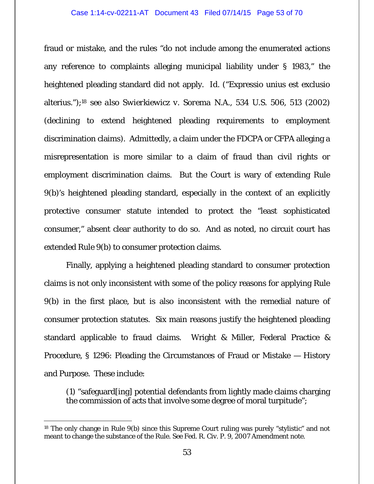#### Case 1:14-cv-02211-AT Document 43 Filed 07/14/15 Page 53 of 70

fraud or mistake, and the rules "do not include among the enumerated actions any reference to complaints alleging municipal liability under § 1983," the heightened pleading standard did not apply. *Id.* ("Expressio unius est exclusio alterius.");18 *see also Swierkiewicz v. Sorema N.A.*, 534 U.S. 506, 513 (2002) (declining to extend heightened pleading requirements to employment discrimination claims). Admittedly, a claim under the FDCPA or CFPA alleging a misrepresentation is more similar to a claim of fraud than civil rights or employment discrimination claims. But the Court is wary of extending Rule 9(b)'s heightened pleading standard, especially in the context of an explicitly protective consumer statute intended to protect the "least sophisticated consumer," absent clear authority to do so. And as noted, no circuit court has extended Rule 9(b) to consumer protection claims.

Finally, applying a heightened pleading standard to consumer protection claims is not only inconsistent with some of the policy reasons for applying Rule 9(b) in the first place, but is also inconsistent with the remedial nature of consumer protection statutes. Six main reasons justify the heightened pleading standard applicable to fraud claims. Wright & Miller, Federal Practice & Procedure, § 1296: Pleading the Circumstances of Fraud or Mistake — History and Purpose. These include:

(1) "safeguard[ing] potential defendants from lightly made claims charging the commission of acts that involve some degree of moral turpitude";

<sup>18</sup> The only change in Rule 9(b) since this Supreme Court ruling was purely "stylistic" and not meant to change the substance of the Rule. *See* Fed. R. Civ. P. 9, 2007 Amendment note.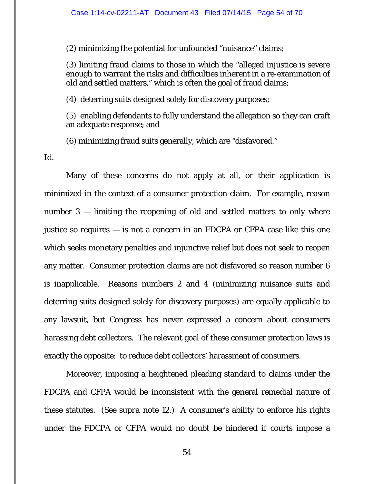(2) minimizing the potential for unfounded "nuisance" claims;

(3) limiting fraud claims to those in which the "alleged injustice is severe enough to warrant the risks and difficulties inherent in a re-examination of old and settled matters," which is often the goal of fraud claims;

(4) deterring suits designed solely for discovery purposes;

(5) enabling defendants to fully understand the allegation so they can craft an adequate response; and

(6) minimizing fraud suits generally, which are "disfavored."

*Id.*

Many of these concerns do not apply at all, or their application is minimized in the context of a consumer protection claim. For example, reason number 3 — limiting the reopening of old and settled matters to only where justice so requires — is not a concern in an FDCPA or CFPA case like this one which seeks monetary penalties and injunctive relief but does not seek to reopen any matter. Consumer protection claims are not disfavored so reason number 6 is inapplicable. Reasons numbers 2 and 4 (minimizing nuisance suits and deterring suits designed solely for discovery purposes) are equally applicable to any lawsuit, but Congress has never expressed a concern about consumers harassing debt collectors. The relevant goal of these consumer protection laws is exactly the opposite: to reduce debt collectors' harassment of consumers.

Moreover, imposing a heightened pleading standard to claims under the FDCPA and CFPA would be inconsistent with the general remedial nature of these statutes. (*See supra* note 12.) A consumer's ability to enforce his rights under the FDCPA or CFPA would no doubt be hindered if courts impose a

54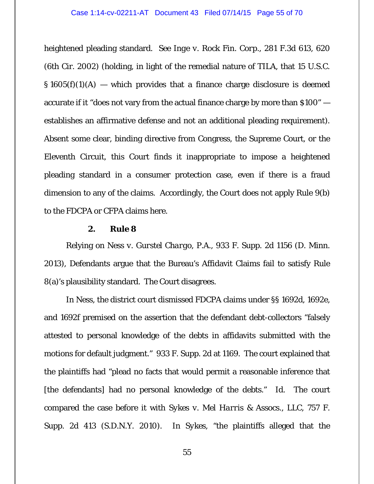heightened pleading standard. *See Inge v. Rock Fin. Corp.*, 281 F.3d 613, 620 (6th Cir. 2002) (holding, in light of the remedial nature of TILA, that 15 U.S.C.  $\S 1605(f)(1)(A)$  — which provides that a finance charge disclosure is deemed accurate if it "does not vary from the actual finance charge by more than \$100" establishes an affirmative defense and not an additional pleading requirement). Absent some clear, binding directive from Congress, the Supreme Court, or the Eleventh Circuit, this Court finds it inappropriate to impose a heightened pleading standard in a consumer protection case, even if there is a fraud dimension to any of the claims. Accordingly, the Court does not apply Rule 9(b) to the FDCPA or CFPA claims here.

## *2. Rule 8*

Relying on *Ness v. Gurstel Chargo, P.A.*, 933 F. Supp. 2d 1156 (D. Minn. 2013), Defendants argue that the Bureau's Affidavit Claims fail to satisfy Rule 8(a)'s plausibility standard. The Court disagrees.

In *Ness*, the district court dismissed FDCPA claims under §§ 1692d, 1692e, and 1692f premised on the assertion that the defendant debt-collectors "falsely attested to personal knowledge of the debts in affidavits submitted with the motions for default judgment." 933 F. Supp. 2d at 1169. The court explained that the plaintiffs had "plead no facts that would permit a reasonable inference that [the defendants] had no personal knowledge of the debts." *Id.* The court compared the case before it with *Sykes v. Mel Harris & Assocs., LLC*, 757 F. Supp. 2d 413 (S.D.N.Y. 2010). In *Sykes*, "the plaintiffs alleged that the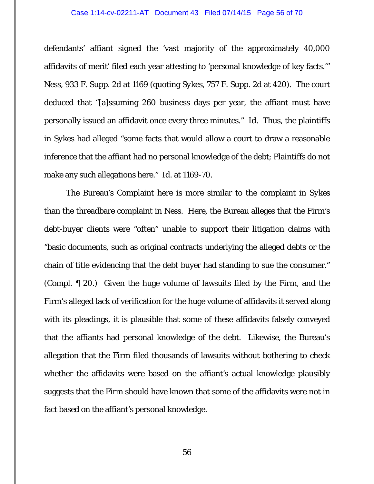#### Case 1:14-cv-02211-AT Document 43 Filed 07/14/15 Page 56 of 70

defendants' affiant signed the 'vast majority of the approximately 40,000 affidavits of merit' filed each year attesting to 'personal knowledge of key facts.'" *Ness*, 933 F. Supp. 2d at 1169 (quoting *Sykes*, 757 F. Supp. 2d at 420). The court deduced that "[a]ssuming 260 business days per year, the affiant must have personally issued an affidavit once every three minutes." *Id.* Thus, the plaintiffs in *Sykes* had alleged "some facts that would allow a court to draw a reasonable inference that the affiant had no personal knowledge of the debt; Plaintiffs do not make any such allegations here." *Id.* at 1169-70.

The Bureau's Complaint here is more similar to the complaint in *Sykes* than the threadbare complaint in *Ness*. Here, the Bureau alleges that the Firm's debt-buyer clients were "often" unable to support their litigation claims with "basic documents, such as original contracts underlying the alleged debts or the chain of title evidencing that the debt buyer had standing to sue the consumer." (Compl. ¶ 20.) Given the huge volume of lawsuits filed by the Firm, and the Firm's alleged lack of verification for the huge volume of affidavits it served along with its pleadings, it is plausible that some of these affidavits falsely conveyed that the affiants had personal knowledge of the debt. Likewise, the Bureau's allegation that the Firm filed thousands of lawsuits without bothering to check whether the affidavits were based on the affiant's actual knowledge plausibly suggests that the Firm should have known that some of the affidavits were not in fact based on the affiant's personal knowledge.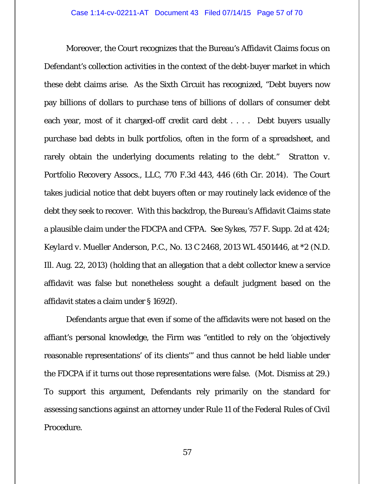Moreover, the Court recognizes that the Bureau's Affidavit Claims focus on Defendant's collection activities in the context of the debt-buyer market in which these debt claims arise. As the Sixth Circuit has recognized, "Debt buyers now pay billions of dollars to purchase tens of billions of dollars of consumer debt each year, most of it charged-off credit card debt . . . . Debt buyers usually purchase bad debts in bulk portfolios, often in the form of a spreadsheet, and rarely obtain the underlying documents relating to the debt." *Stratton v. Portfolio Recovery Assocs., LLC*, 770 F.3d 443, 446 (6th Cir. 2014). The Court takes judicial notice that debt buyers often or may routinely lack evidence of the debt they seek to recover. With this backdrop, the Bureau's Affidavit Claims state a plausible claim under the FDCPA and CFPA. *See Sykes*, 757 F. Supp. 2d at 424; *Keylard v. Mueller Anderson, P.C.*, No. 13 C 2468, 2013 WL 4501446, at \*2 (N.D. Ill. Aug. 22, 2013) (holding that an allegation that a debt collector knew a service affidavit was false but nonetheless sought a default judgment based on the affidavit states a claim under § 1692f).

Defendants argue that even if some of the affidavits were not based on the affiant's personal knowledge, the Firm was "entitled to rely on the 'objectively reasonable representations' of its clients'" and thus cannot be held liable under the FDCPA if it turns out those representations were false. (Mot. Dismiss at 29.) To support this argument, Defendants rely primarily on the standard for assessing sanctions against an attorney under Rule 11 of the Federal Rules of Civil Procedure.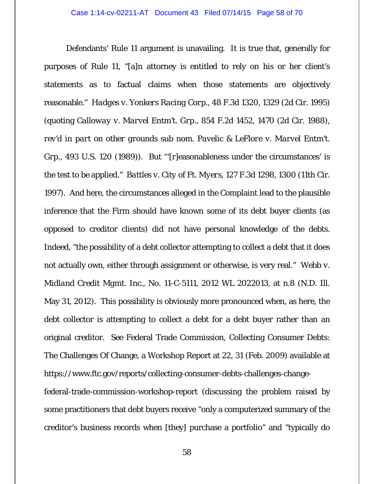Defendants' Rule 11 argument is unavailing. It is true that, generally for purposes of Rule 11, "[a]n attorney is entitled to rely on his or her client's statements as to factual claims when those statements are objectively reasonable." *Hadges v. Yonkers Racing Corp.*, 48 F.3d 1320, 1329 (2d Cir. 1995) (quoting *Calloway v. Marvel Entm't. Grp.*, 854 F.2d 1452, 1470 (2d Cir. 1988), *rev'd in part on other grounds sub nom. Pavelic & LeFlore v. Marvel Entm't. Grp.*, 493 U.S. 120 (1989)). But "'[r]easonableness under the circumstances' is the test to be applied." *Battles v. City of Ft. Myers*, 127 F.3d 1298, 1300 (11th Cir. 1997). And here, the circumstances alleged in the Complaint lead to the plausible inference that the Firm should have known some of its debt buyer clients (as opposed to creditor clients) did not have personal knowledge of the debts. Indeed, "the possibility of a debt collector attempting to collect a debt that it does not actually own, either through assignment or otherwise, is very real." *Webb v. Midland Credit Mgmt. Inc.,* No. 11-C-5111, 2012 WL 2022013, at n.8 (N.D. Ill. May 31, 2012). This possibility is obviously more pronounced when, as here, the debt collector is attempting to collect a debt for a debt buyer rather than an original creditor. *See* Federal Trade Commission, Collecting Consumer Debts: The Challenges Of Change, a Workshop Report at 22, 31 (Feb. 2009) available at https://www.ftc.gov/reports/collecting-consumer-debts-challenges-change-

federal-trade-commission-workshop-report (discussing the problem raised by some practitioners that debt buyers receive "only a computerized summary of the creditor's business records when [they] purchase a portfolio" and "typically do

58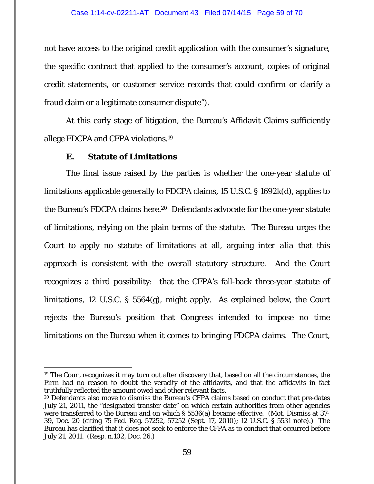not have access to the original credit application with the consumer's signature, the specific contract that applied to the consumer's account, copies of original credit statements, or customer service records that could confirm or clarify a fraud claim or a legitimate consumer dispute").

At this early stage of litigation, the Bureau's Affidavit Claims sufficiently allege FDCPA and CFPA violations.19

### **E. Statute of Limitations**

-

The final issue raised by the parties is whether the one-year statute of limitations applicable generally to FDCPA claims, 15 U.S.C. § 1692k(d), applies to the Bureau's FDCPA claims here.20 Defendants advocate for the one-year statute of limitations, relying on the plain terms of the statute. The Bureau urges the Court to apply no statute of limitations at all, arguing *inter alia* that this approach is consistent with the overall statutory structure. And the Court recognizes a third possibility: that the CFPA's fall-back three-year statute of limitations, 12 U.S.C. § 5564(g), might apply. As explained below, the Court rejects the Bureau's position that Congress intended to impose no time limitations on the Bureau when it comes to bringing FDCPA claims. The Court,

<sup>&</sup>lt;sup>19</sup> The Court recognizes it may turn out after discovery that, based on all the circumstances, the Firm had no reason to doubt the veracity of the affidavits, and that the affidavits in fact truthfully reflected the amount owed and other relevant facts.

<sup>&</sup>lt;sup>20</sup> Defendants also move to dismiss the Bureau's CFPA claims based on conduct that pre-dates July 21, 2011, the "designated transfer date" on which certain authorities from other agencies were transferred to the Bureau and on which § 5536(a) became effective. (Mot. Dismiss at 37- 39, Doc. 20 (citing 75 Fed. Reg. 57252, 57252 (Sept. 17, 2010); 12 U.S.C. § 5531 note).) The Bureau has clarified that it does not seek to enforce the CFPA as to conduct that occurred before July 21, 2011. (Resp. n.102, Doc. 26.)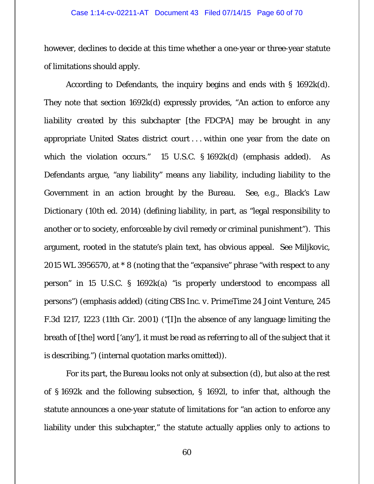#### Case 1:14-cv-02211-AT Document 43 Filed 07/14/15 Page 60 of 70

however, declines to decide at this time whether a one-year or three-year statute of limitations should apply.

According to Defendants, the inquiry begins and ends with § 1692k(d). They note that section 1692k(d) expressly provides, "An action to enforce *any liability created by this subchapter [the FDCPA]* may be brought in any appropriate United States district court . . . within one year from the date on which the violation occurs." 15 U.S.C. § 1692k(d) (emphasis added). As Defendants argue, "any liability" means *any* liability, including liability to the Government in an action brought by the Bureau. *See, e.g.*, *Black's Law Dictionary* (10th ed. 2014) (defining liability, in part, as "legal responsibility to another or to society, enforceable by civil remedy or criminal punishment"). This argument, rooted in the statute's plain text, has obvious appeal. *See Miljkovic*, 2015 WL 3956570, at \* 8 (noting that the "expansive" phrase "with respect to *any*  person" in 15 U.S.C. § 1692k(a) "is properly understood to encompass all persons") (emphasis added) (citing *CBS Inc. v. PrimeTime 24 Joint Venture*, 245 F.3d 1217, 1223 (11th Cir. 2001) ("[I]n the absence of any language limiting the breath of [the] word ['any'], it must be read as referring to all of the subject that it is describing.") (internal quotation marks omitted)).

For its part, the Bureau looks not only at subsection (d), but also at the rest of § 1692k and the following subsection, § 1692*l*, to infer that, although the statute announces a one-year statute of limitations for "an action to enforce any liability under this subchapter," the statute actually applies only to actions to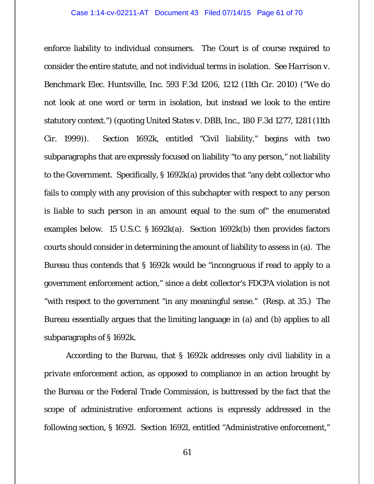enforce liability to individual consumers. The Court is of course required to consider the entire statute, and not individual terms in isolation. *See Harrison v. Benchmark Elec. Huntsville, Inc.* 593 F.3d 1206, 1212 (11th Cir. 2010) ("We do not look at one word or term in isolation, but instead we look to the entire statutory context.") (quoting *United States v. DBB, Inc.*, 180 F.3d 1277, 1281 (11th Cir. 1999)). Section 1692k, entitled "Civil liability," begins with two subparagraphs that are expressly focused on liability "to any person," not liability to the Government. Specifically, § 1692k(a) provides that "any debt collector who fails to comply with any provision of this subchapter *with respect to any person*  is *liable to such person* in an amount equal to the sum of" the enumerated examples below. 15 U.S.C. § 1692k(a). Section 1692k(b) then provides factors courts should consider in determining the amount of liability to assess in (a). The Bureau thus contends that § 1692k would be "incongruous if read to apply to a government enforcement action," since a debt collector's FDCPA violation is not "with respect to the government "in any meaningful sense." (Resp. at 35.) The Bureau essentially argues that the limiting language in (a) and (b) applies to all subparagraphs of § 1692k.

According to the Bureau, that § 1692k addresses only civil liability in a *private* enforcement action, as opposed to compliance in an action brought by the Bureau or the Federal Trade Commission, is buttressed by the fact that the scope of administrative enforcement actions is expressly addressed in the following section, § 1692*l*. Section 1692*l*, entitled "Administrative enforcement,"

61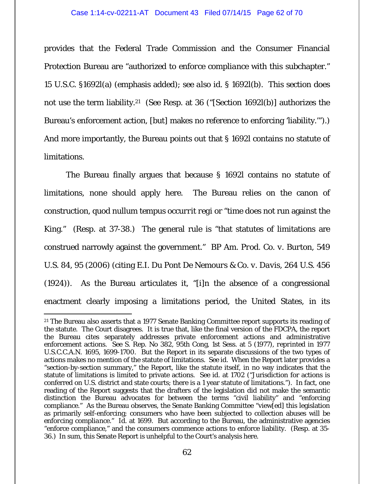#### Case 1:14-cv-02211-AT Document 43 Filed 07/14/15 Page 62 of 70

provides that the Federal Trade Commission and the Consumer Financial Protection Bureau are "authorized to *enforce compliance* with this subchapter." 15 U.S.C. §1692*l*(a) (emphasis added); *see also id.* § 1692*l*(b). This section does not use the term liability.21 (*See* Resp. at 36 ("[Section 1692*l*(b)] authorizes the Bureau's enforcement action, [but] makes no reference to enforcing 'liability.'").) And more importantly, the Bureau points out that § 1692*l* contains no statute of limitations.

The Bureau finally argues that because § 1692*l* contains no statute of limitations, none should apply here. The Bureau relies on the canon of construction, *quod nullum tempus occurrit regi* or "time does not run against the King." (Resp. at 37-38.) The general rule is "that statutes of limitations are construed narrowly against the government." *BP Am. Prod. Co. v. Burton*, 549 U.S. 84, 95 (2006) (citing *E.I. Du Pont De Nemours & Co. v. Davis*, 264 U.S. 456 (1924)). As the Bureau articulates it, "[i]n the absence of a congressional enactment clearly imposing a limitations period, the United States, in its

 $\overline{a}$ 

<sup>&</sup>lt;sup>21</sup> The Bureau also asserts that a 1977 Senate Banking Committee report supports its reading of the statute. The Court disagrees. It is true that, like the final version of the FDCPA, the report the Bureau cites separately addresses private enforcement actions and administrative enforcement actions. *See* S. Rep. No 382, 95th Cong, 1st Sess. at 5 (1977), *reprinted in* 1977 U.S.C.C.A.N. 1695, 1699-1700. But the Report in its separate discussions of the two types of actions makes no mention of the statute of limitations. *See id.* When the Report later provides a "section-by-section summary," the Report, like the statute itself, in no way indicates that the statute of limitations is limited to private actions. *See id.* at 1702 ("Jurisdiction for actions is conferred on U.S. district and state courts; there is a 1 year statute of limitations."). In fact, one reading of the Report suggests that the drafters of the legislation did not make the semantic distinction the Bureau advocates for between the terms "civil liability" and "enforcing compliance." As the Bureau observes, the Senate Banking Committee "view[ed] this legislation as primarily self-enforcing; consumers who have been subjected to collection abuses will be *enforcing compliance*." *Id.* at 1699. But according to the Bureau, the administrative agencies "enforce compliance," and the consumers commence actions to enforce liability. (Resp. at 35- 36.) In sum, this Senate Report is unhelpful to the Court's analysis here.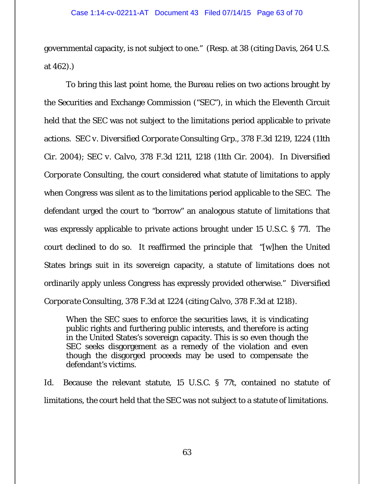governmental capacity, is not subject to one." (Resp. at 38 (citing *Davis*, 264 U.S. at 462).)

To bring this last point home, the Bureau relies on two actions brought by the Securities and Exchange Commission ("SEC"), in which the Eleventh Circuit held that the SEC was not subject to the limitations period applicable to private actions. *SEC v. Diversified Corporate Consulting Grp.*, 378 F.3d 1219, 1224 (11th Cir. 2004); *SEC v. Calvo*, 378 F.3d 1211, 1218 (11th Cir. 2004). In *Diversified Corporate Consulting*, the court considered what statute of limitations to apply when Congress was silent as to the limitations period applicable to the SEC. The defendant urged the court to "borrow" an analogous statute of limitations that was expressly applicable to private actions brought under 15 U.S.C. § 77*l*. The court declined to do so. It reaffirmed the principle that "[w]hen the United States brings suit in its sovereign capacity, a statute of limitations does not ordinarily apply unless Congress has expressly provided otherwise." *Diversified Corporate Consulting*, 378 F.3d at 1224 (citing *Calvo*, 378 F.3d at 1218).

When the SEC sues to enforce the securities laws, it is vindicating public rights and furthering public interests, and therefore is acting in the United States's sovereign capacity. This is so even though the SEC seeks disgorgement as a remedy of the violation and even though the disgorged proceeds may be used to compensate the defendant's victims.

*Id.* Because the relevant statute, 15 U.S.C. § 77t, contained no statute of limitations, the court held that the SEC was not subject to a statute of limitations.

63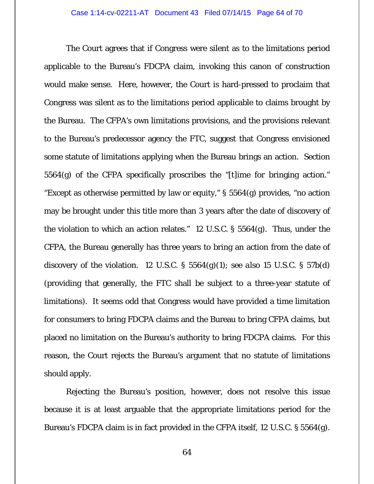The Court agrees that if Congress were silent as to the limitations period applicable to the Bureau's FDCPA claim, invoking this canon of construction would make sense. Here, however, the Court is hard-pressed to proclaim that Congress was silent as to the limitations period applicable to claims brought by the Bureau. The CFPA's own limitations provisions, and the provisions relevant to the Bureau's predecessor agency the FTC, suggest that Congress envisioned *some* statute of limitations applying when the Bureau brings an action. Section 5564(g) of the CFPA specifically proscribes the "[t]ime for bringing action." "Except as otherwise permitted by law or equity," § 5564(g) provides, "no action may be brought under this title more than 3 years after the date of discovery of the violation to which an action relates." 12 U.S.C. § 5564(g). Thus, under the CFPA, the Bureau generally has three years to bring an action from the date of discovery of the violation. 12 U.S.C. § 5564(g)(1); *see also* 15 U.S.C. § 57b(d) (providing that generally, the FTC shall be subject to a three-year statute of limitations). It seems odd that Congress would have provided a time limitation for consumers to bring FDCPA claims and the Bureau to bring CFPA claims, but placed no limitation on the Bureau's authority to bring FDCPA claims. For this reason, the Court rejects the Bureau's argument that no statute of limitations should apply.

 Rejecting the Bureau's position, however, does not resolve this issue because it is at least arguable that the appropriate limitations period for the Bureau's FDCPA claim is in fact provided in the CFPA itself, 12 U.S.C. § 5564(g).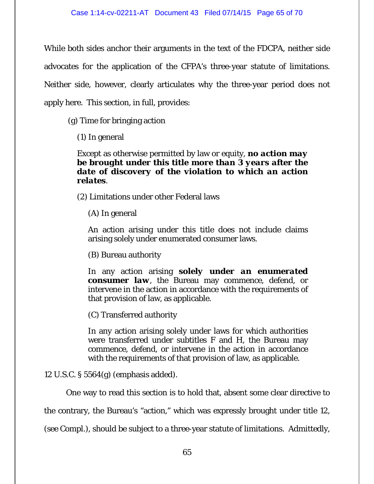While both sides anchor their arguments in the text of the FDCPA, neither side advocates for the application of the CFPA's three-year statute of limitations. Neither side, however, clearly articulates why the three-year period does not apply here. This section, in full, provides:

(g) Time for bringing action

(1) In general

Except as otherwise permitted by law or equity, *no action may be brought under this title more than 3 years after the date of discovery of the violation to which an action relates*.

(2) Limitations under other Federal laws

(A) In general

An action arising under this title does not include claims arising solely under enumerated consumer laws.

(B) Bureau authority

In any action arising *solely under an enumerated consumer law*, the Bureau may commence, defend, or intervene in the action in accordance with the requirements of that provision of law, as applicable.

(C) Transferred authority

In any action arising solely under laws for which authorities were transferred under subtitles F and H, the Bureau may commence, defend, or intervene in the action in accordance with the requirements of that provision of law, as applicable.

12 U.S.C. § 5564(g) (emphasis added).

One way to read this section is to hold that, absent some clear directive to

the contrary, the Bureau's "action," which was expressly brought under title 12,

(*see* Compl.), should be subject to a three-year statute of limitations. Admittedly,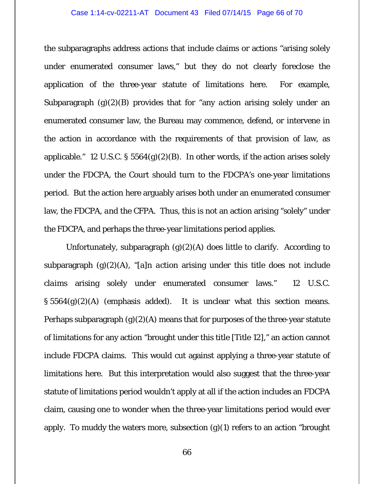the subparagraphs address actions that include claims or actions "arising solely under enumerated consumer laws," but they do not clearly foreclose the application of the three-year statute of limitations here. For example, Subparagraph (g)(2)(B) provides that for "any *action* arising solely under an enumerated consumer law, the Bureau may commence, defend, or intervene in the action in accordance with the requirements of that provision of law, as applicable." 12 U.S.C.  $\S 5564(g)(2)(B)$ . In other words, if the action arises solely under the FDCPA, the Court should turn to the FDCPA's one-year limitations period. But the action here arguably arises both under an enumerated consumer law, the FDCPA, *and* the CFPA. Thus, this is not an action arising "solely" under the FDCPA, and perhaps the three-year limitations period applies.

Unfortunately, subparagraph  $(g)(2)(A)$  does little to clarify. According to subparagraph (g)(2)(A), "[a]n *action* arising under this title does not include *claims* arising solely under enumerated consumer laws." 12 U.S.C. § 5564(g)(2)(A) (emphasis added). It is unclear what this section means. Perhaps subparagraph  $(g)(2)(A)$  means that for purposes of the three-year statute of limitations for any action "brought under this title [Title 12]," an action cannot include FDCPA claims. This would cut against applying a three-year statute of limitations here. But this interpretation would also suggest that the three-year statute of limitations period wouldn't apply at all if the action includes an FDCPA claim, causing one to wonder when the three-year limitations period would ever apply. To muddy the waters more, subsection  $(g)(1)$  refers to an action "brought"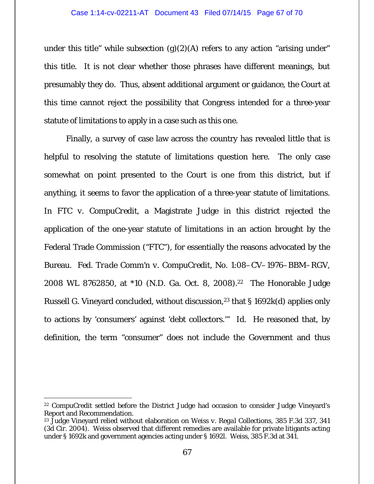under this title" while subsection  $(g)(2)(A)$  refers to any action "arising under" this title. It is not clear whether those phrases have different meanings, but presumably they do. Thus, absent additional argument or guidance, the Court at this time cannot reject the possibility that Congress intended for a three-year statute of limitations to apply in a case such as this one.

Finally, a survey of case law across the country has revealed little that is helpful to resolving the statute of limitations question here. The only case somewhat on point presented to the Court is one from this district, but if anything, it seems to favor the application of a three-year statute of limitations. In *FTC v. CompuCredit*, a Magistrate Judge in this district rejected the application of the one-year statute of limitations in an action brought by the Federal Trade Commission ("FTC"), for essentially the reasons advocated by the Bureau. *Fed. Trade Comm'n v. CompuCredit*, No. 1:08–CV–1976–BBM–RGV, 2008 WL 8762850, at \*10 (N.D. Ga. Oct. 8, 2008).22 The Honorable Judge Russell G. Vineyard concluded, without discussion,<sup>23</sup> that  $\S$  1692k(d) applies only to actions by 'consumers' against 'debt collectors.'" *Id.* He reasoned that, by definition, the term "consumer" does not include the Government and thus

 $\overline{a}$ 

<sup>22</sup> *CompuCredit* settled before the District Judge had occasion to consider Judge Vineyard's Report and Recommendation.

<sup>23</sup> Judge Vineyard relied without elaboration on *Weiss v. Regal Collections*, 385 F.3d 337, 341 (3d Cir. 2004). *Weiss* observed that different remedies are available for private litigants acting under § 1692k and government agencies acting under § 1692*l*. *Weiss*, 385 F.3d at 341.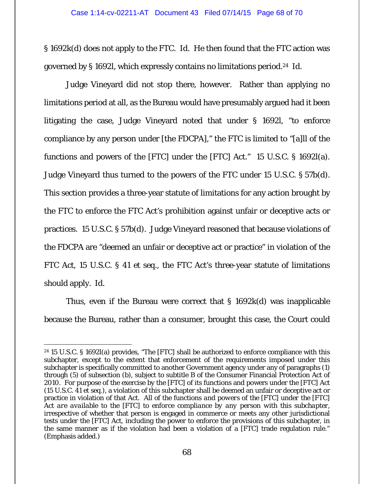§ 1692k(d) does not apply to the FTC. *Id.* He then found that the FTC action was governed by § 1692*l*, which expressly contains no limitations period.24 *Id.*

Judge Vineyard did not stop there, however. Rather than applying no limitations period at all, as the Bureau would have presumably argued had it been litigating the case, Judge Vineyard noted that under § 1692*l*, "to enforce compliance by any person under [the FDCPA]," the FTC is limited to "[a]ll of the functions and powers of the [FTC] under the [FTC] Act." 15 U.S.C. § 1692*l*(a). Judge Vineyard thus turned to the powers of the FTC under 15 U.S.C. § 57b(d). This section provides a three-year statute of limitations for any action brought by the FTC to enforce the FTC Act's prohibition against unfair or deceptive acts or practices. 15 U.S.C. § 57b(d). Judge Vineyard reasoned that because violations of the FDCPA are "deemed an unfair or deceptive act or practice" in violation of the FTC Act, 15 U.S.C. § 41 *et seq*., the FTC Act's three-year statute of limitations should apply. *Id.* 

Thus, even if the Bureau were correct that § 1692k(d) was inapplicable because the Bureau, rather than a consumer, brought this case, the Court could

 $\overline{a}$ 24 15 U.S.C. § 1692*l*(a) provides, "The [FTC] shall be authorized to enforce compliance with this subchapter, except to the extent that enforcement of the requirements imposed under this subchapter is specifically committed to another Government agency under any of paragraphs (1) through (5) of subsection (b), subject to subtitle B of the Consumer Financial Protection Act of 2010. For purpose of the exercise by the [FTC] of its functions and powers under the [FTC] Act (15 U.S.C. 41 *et seq*.), a violation of this subchapter shall be deemed an unfair or deceptive act or practice in violation of that Act. *All of the functions and powers of the [FTC] under the [FTC] Act are available to the [FTC] to enforce compliance by any person with this subchapter*, irrespective of whether that person is engaged in commerce or meets any other jurisdictional tests under the [FTC] Act, including the power to enforce the provisions of this subchapter, in the same manner as if the violation had been a violation of a [FTC] trade regulation rule." (Emphasis added.)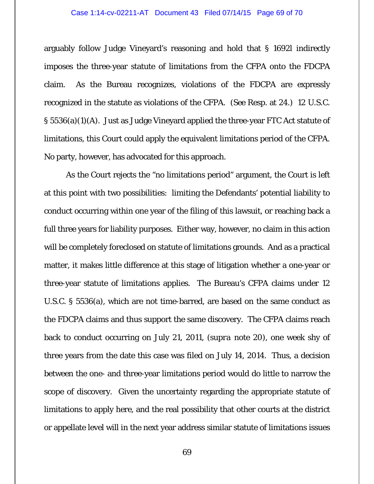#### Case 1:14-cv-02211-AT Document 43 Filed 07/14/15 Page 69 of 70

arguably follow Judge Vineyard's reasoning and hold that § 1692*l* indirectly imposes the three-year statute of limitations from the CFPA onto the FDCPA claim. As the Bureau recognizes, violations of the FDCPA are expressly recognized in the statute as violations of the CFPA. (*See* Resp. at 24.) 12 U.S.C. § 5536(a)(1)(A). Just as Judge Vineyard applied the three-year FTC Act statute of limitations, this Court could apply the equivalent limitations period of the CFPA. No party, however, has advocated for this approach.

As the Court rejects the "no limitations period" argument, the Court is left at this point with two possibilities: limiting the Defendants' potential liability to conduct occurring within one year of the filing of this lawsuit, or reaching back a full three years for liability purposes. Either way, however, no claim in this action will be completely foreclosed on statute of limitations grounds. And as a practical matter, it makes little difference at this stage of litigation whether a one-year or three-year statute of limitations applies. The Bureau's CFPA claims under 12 U.S.C. § 5536(a), which are not time-barred, are based on the same conduct as the FDCPA claims and thus support the same discovery. The CFPA claims reach back to conduct occurring on July 21, 2011, (*supra* note 20), one week shy of three years from the date this case was filed on July 14, 2014. Thus, a decision between the one- and three-year limitations period would do little to narrow the scope of discovery. Given the uncertainty regarding the appropriate statute of limitations to apply here, and the real possibility that other courts at the district or appellate level will in the next year address similar statute of limitations issues